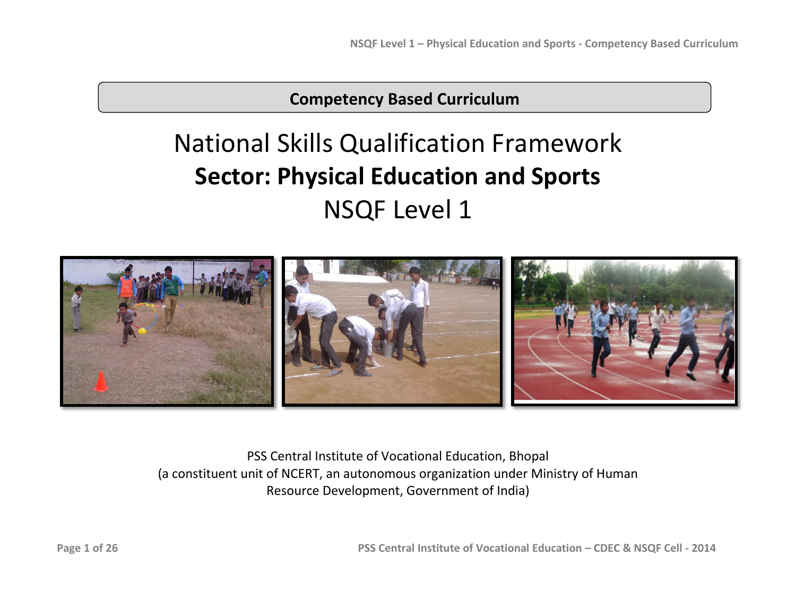**Competency Based Curriculum**

# National Skills Qualification Framework **Sector: Physical Education and Sports** NSQF Level 1



PSS Central Institute of Vocational Education, Bhopal (a constituent unit of NCERT, an autonomous organization under Ministry of Human Resource Development, Government of India)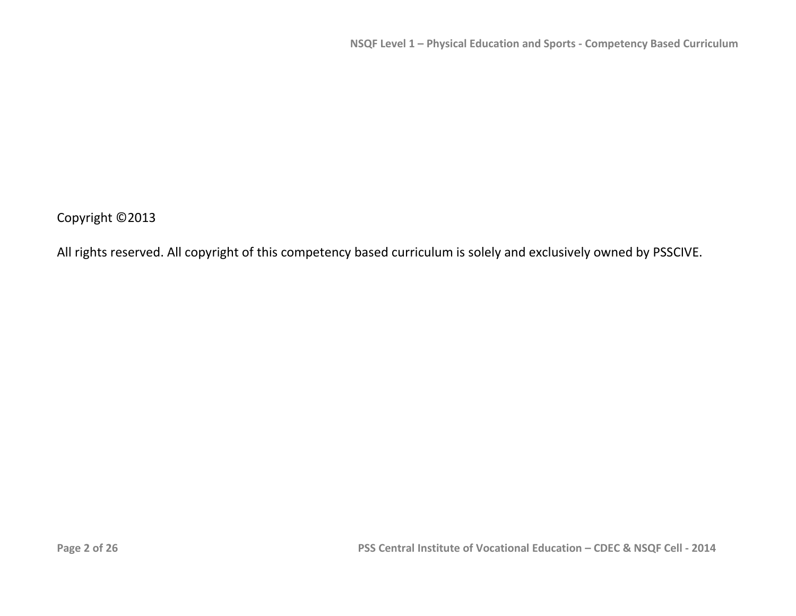Copyright ©2013

All rights reserved. All copyright of this competency based curriculum is solely and exclusively owned by PSSCIVE.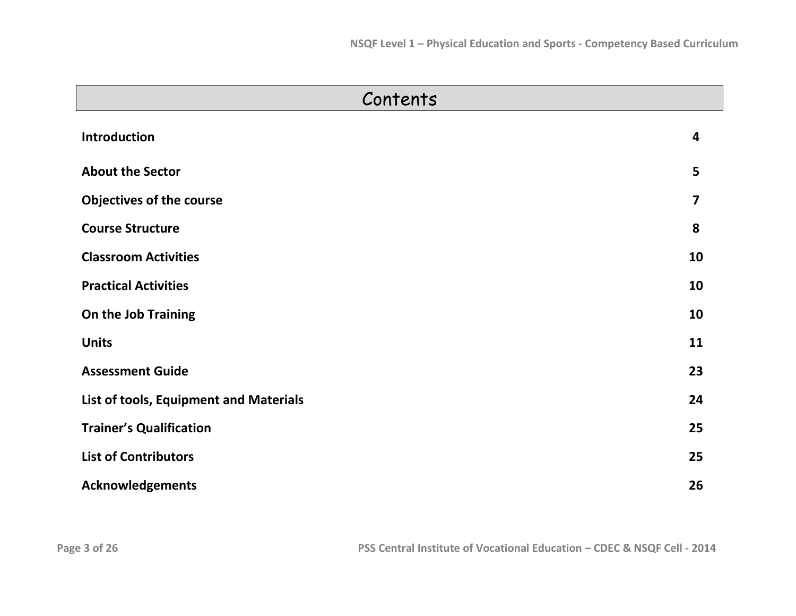| Contents                               |                         |  |  |  |
|----------------------------------------|-------------------------|--|--|--|
| <b>Introduction</b>                    | 4                       |  |  |  |
| <b>About the Sector</b>                | 5                       |  |  |  |
| <b>Objectives of the course</b>        | $\overline{\mathbf{z}}$ |  |  |  |
| <b>Course Structure</b>                | 8                       |  |  |  |
| <b>Classroom Activities</b>            | 10                      |  |  |  |
| <b>Practical Activities</b>            | 10                      |  |  |  |
| On the Job Training                    | 10                      |  |  |  |
| <b>Units</b>                           | 11                      |  |  |  |
| <b>Assessment Guide</b>                | 23                      |  |  |  |
| List of tools, Equipment and Materials | 24                      |  |  |  |
| <b>Trainer's Qualification</b>         | 25                      |  |  |  |
| <b>List of Contributors</b>            | 25                      |  |  |  |
| <b>Acknowledgements</b>                | 26                      |  |  |  |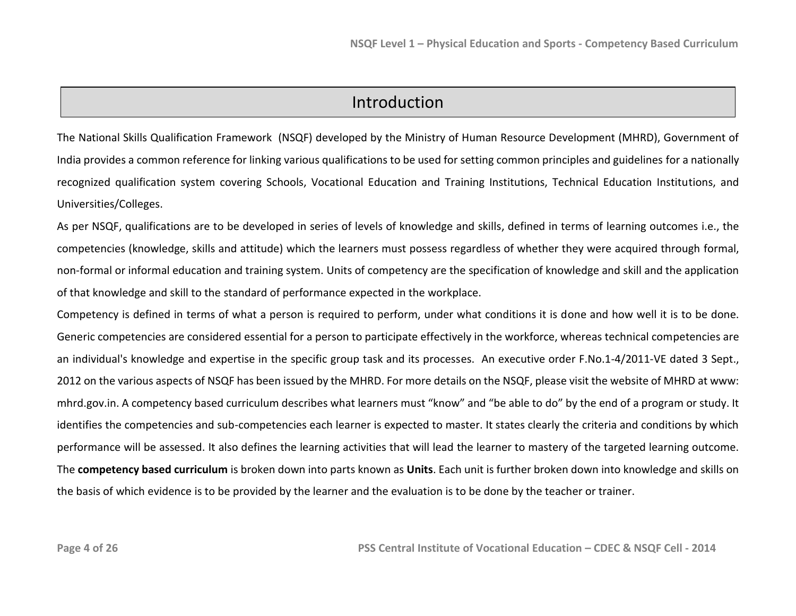## Introduction

The National Skills Qualification Framework (NSQF) developed by the Ministry of Human Resource Development (MHRD), Government of India provides a common reference for linking various qualifications to be used for setting common principles and guidelines for a nationally recognized qualification system covering Schools, Vocational Education and Training Institutions, Technical Education Institutions, and Universities/Colleges.

As per NSQF, qualifications are to be developed in series of levels of knowledge and skills, defined in terms of learning outcomes i.e., the competencies (knowledge, skills and attitude) which the learners must possess regardless of whether they were acquired through formal, non-formal or informal education and training system. Units of competency are the specification of knowledge and skill and the application of that knowledge and skill to the standard of performance expected in the workplace.

Competency is defined in terms of what a person is required to perform, under what conditions it is done and how well it is to be done. Generic competencies are considered essential for a person to participate effectively in the workforce, whereas technical competencies are an individual's knowledge and expertise in the specific group task and its processes. An executive order F.No.1-4/2011-VE dated 3 Sept., 2012 on the various aspects of NSQF has been issued by the MHRD. For more details on the NSQF, please visit the website of MHRD at www: mhrd.gov.in. A competency based curriculum describes what learners must "know" and "be able to do" by the end of a program or study. It identifies the competencies and sub-competencies each learner is expected to master. It states clearly the criteria and conditions by which performance will be assessed. It also defines the learning activities that will lead the learner to mastery of the targeted learning outcome. The **competency based curriculum** is broken down into parts known as **Units**. Each unit is further broken down into knowledge and skills on the basis of which evidence is to be provided by the learner and the evaluation is to be done by the teacher or trainer.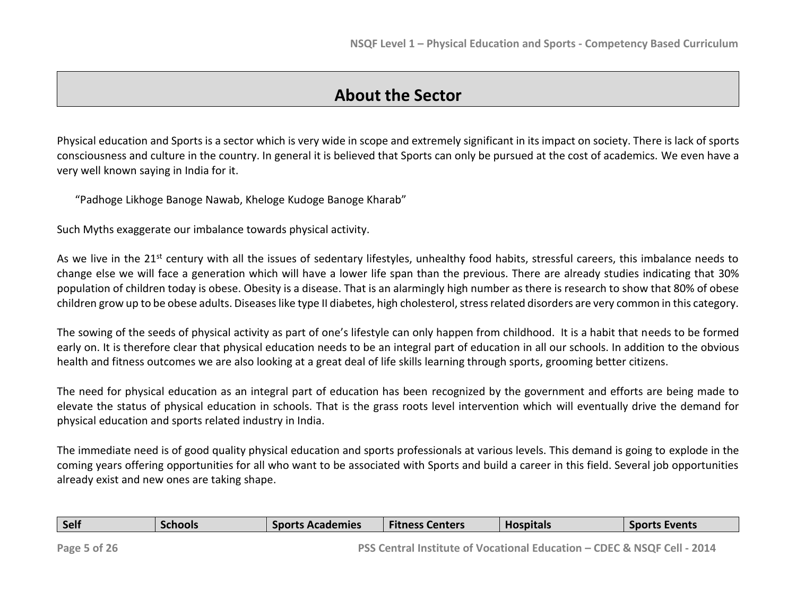## **About the Sector**

Physical education and Sports is a sector which is very wide in scope and extremely significant in its impact on society. There is lack of sports consciousness and culture in the country. In general it is believed that Sports can only be pursued at the cost of academics. We even have a very well known saying in India for it.

"Padhoge Likhoge Banoge Nawab, Kheloge Kudoge Banoge Kharab"

Such Myths exaggerate our imbalance towards physical activity.

As we live in the 21<sup>st</sup> century with all the issues of sedentary lifestyles, unhealthy food habits, stressful careers, this imbalance needs to change else we will face a generation which will have a lower life span than the previous. There are already studies indicating that 30% population of children today is obese. Obesity is a disease. That is an alarmingly high number as there is research to show that 80% of obese children grow up to be obese adults. Diseases like type II diabetes, high cholesterol, stress related disorders are very common in this category.

The sowing of the seeds of physical activity as part of one's lifestyle can only happen from childhood. It is a habit that needs to be formed early on. It is therefore clear that physical education needs to be an integral part of education in all our schools. In addition to the obvious health and fitness outcomes we are also looking at a great deal of life skills learning through sports, grooming better citizens.

The need for physical education as an integral part of education has been recognized by the government and efforts are being made to elevate the status of physical education in schools. That is the grass roots level intervention which will eventually drive the demand for physical education and sports related industry in India.

The immediate need is of good quality physical education and sports professionals at various levels. This demand is going to explode in the coming years offering opportunities for all who want to be associated with Sports and build a career in this field. Several job opportunities already exist and new ones are taking shape.

| Self                           | Schools | <b>Sports Academies</b> | <b>Fitness Centers</b> | <b>Hospitals</b> | <b>Sports Events</b> |
|--------------------------------|---------|-------------------------|------------------------|------------------|----------------------|
| $\sim$ $-$<br>$\sim$<br>$\sim$ |         | ----                    |                        |                  |                      |

**Page 5 of 26 PSS Central Institute of Vocational Education – CDEC & NSQF Cell - 2014**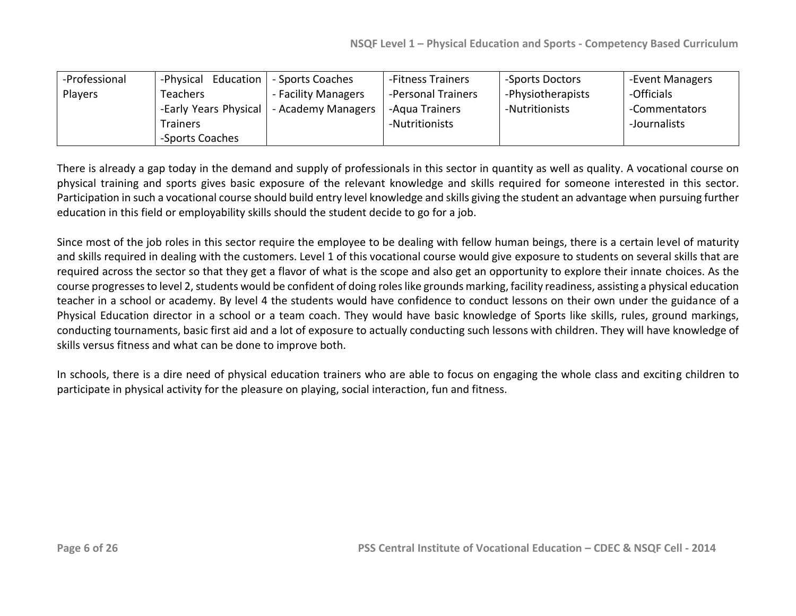| -Professional  | -Physical Education   | - Sports Coaches    | -Fitness Trainers  | -Sports Doctors   | -Event Managers |
|----------------|-----------------------|---------------------|--------------------|-------------------|-----------------|
| <b>Players</b> | <b>Teachers</b>       | - Facility Managers | -Personal Trainers | -Physiotherapists | -Officials      |
|                | -Early Years Physical | - Academy Managers  | -Aqua Trainers     | -Nutritionists    | -Commentators   |
|                | <b>Trainers</b>       |                     | -Nutritionists     |                   | -Journalists    |
|                | -Sports Coaches       |                     |                    |                   |                 |

There is already a gap today in the demand and supply of professionals in this sector in quantity as well as quality. A vocational course on physical training and sports gives basic exposure of the relevant knowledge and skills required for someone interested in this sector. Participation in such a vocational course should build entry level knowledge and skills giving the student an advantage when pursuing further education in this field or employability skills should the student decide to go for a job.

Since most of the job roles in this sector require the employee to be dealing with fellow human beings, there is a certain level of maturity and skills required in dealing with the customers. Level 1 of this vocational course would give exposure to students on several skills that are required across the sector so that they get a flavor of what is the scope and also get an opportunity to explore their innate choices. As the course progresses to level 2, students would be confident of doing roles like grounds marking, facility readiness, assisting a physical education teacher in a school or academy. By level 4 the students would have confidence to conduct lessons on their own under the guidance of a Physical Education director in a school or a team coach. They would have basic knowledge of Sports like skills, rules, ground markings, conducting tournaments, basic first aid and a lot of exposure to actually conducting such lessons with children. They will have knowledge of skills versus fitness and what can be done to improve both.

In schools, there is a dire need of physical education trainers who are able to focus on engaging the whole class and exciting children to participate in physical activity for the pleasure on playing, social interaction, fun and fitness.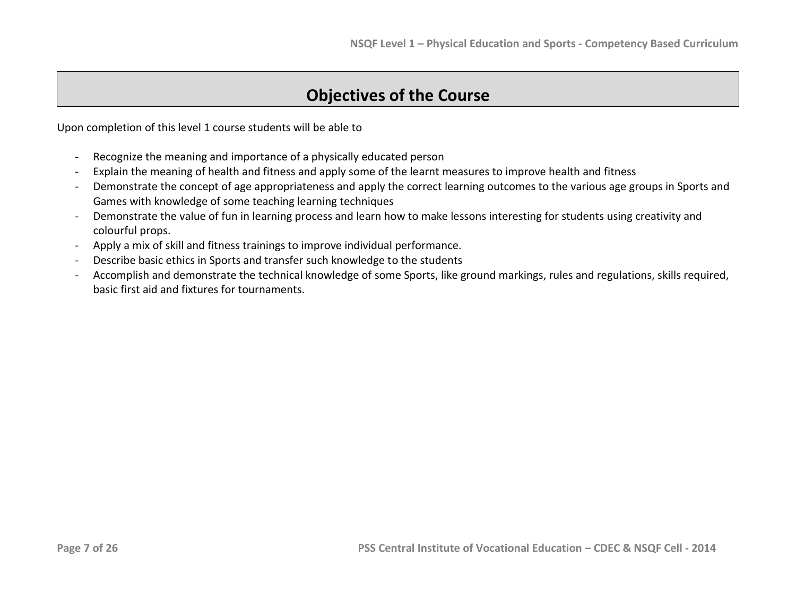# **Objectives of the Course**

Upon completion of this level 1 course students will be able to

- Recognize the meaning and importance of a physically educated person
- Explain the meaning of health and fitness and apply some of the learnt measures to improve health and fitness
- Demonstrate the concept of age appropriateness and apply the correct learning outcomes to the various age groups in Sports and Games with knowledge of some teaching learning techniques
- Demonstrate the value of fun in learning process and learn how to make lessons interesting for students using creativity and colourful props.
- Apply a mix of skill and fitness trainings to improve individual performance.
- Describe basic ethics in Sports and transfer such knowledge to the students
- Accomplish and demonstrate the technical knowledge of some Sports, like ground markings, rules and regulations, skills required, basic first aid and fixtures for tournaments.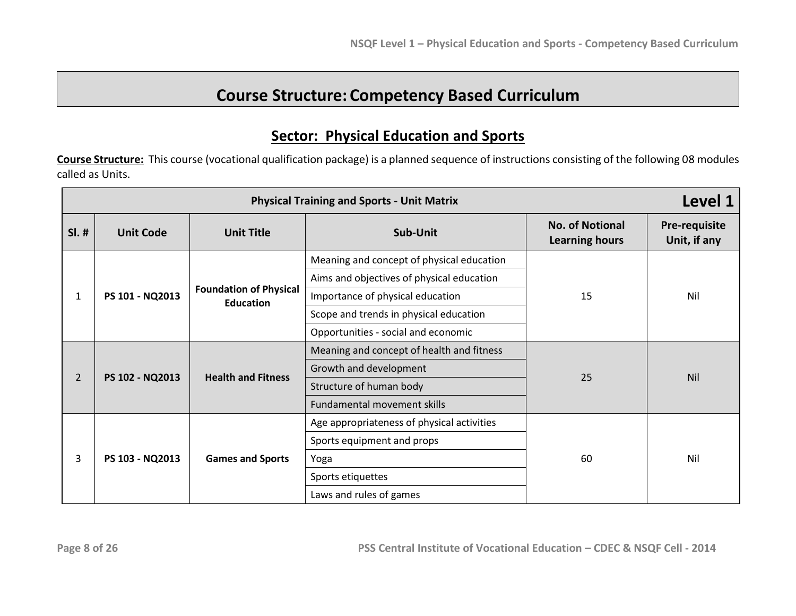# **Course Structure: Competency Based Curriculum**

## **Sector: Physical Education and Sports**

**Course Structure:** This course (vocational qualification package) is a planned sequence of instructions consisting of the following 08 modules called as Units.

| <b>Physical Training and Sports - Unit Matrix</b> |                                   |                                                   |                                            |                                                 | Level 1                       |
|---------------------------------------------------|-----------------------------------|---------------------------------------------------|--------------------------------------------|-------------------------------------------------|-------------------------------|
| $SI.$ #                                           | <b>Unit Code</b>                  | <b>Unit Title</b>                                 | Sub-Unit                                   | <b>No. of Notional</b><br><b>Learning hours</b> | Pre-requisite<br>Unit, if any |
|                                                   |                                   |                                                   | Meaning and concept of physical education  |                                                 |                               |
|                                                   |                                   |                                                   | Aims and objectives of physical education  |                                                 |                               |
| 1                                                 | PS 101 - NQ2013                   | <b>Foundation of Physical</b><br><b>Education</b> | Importance of physical education           | 15                                              | Nil                           |
|                                                   |                                   | Scope and trends in physical education            |                                            |                                                 |                               |
|                                                   |                                   | Opportunities - social and economic               |                                            |                                                 |                               |
|                                                   | $\overline{2}$<br>PS 102 - NQ2013 | <b>Health and Fitness</b>                         | Meaning and concept of health and fitness  |                                                 | Nil                           |
|                                                   |                                   |                                                   | Growth and development                     | 25                                              |                               |
|                                                   |                                   |                                                   | Structure of human body                    |                                                 |                               |
|                                                   |                                   | Fundamental movement skills                       |                                            |                                                 |                               |
|                                                   |                                   |                                                   | Age appropriateness of physical activities |                                                 |                               |
| 3<br>PS 103 - NQ2013                              |                                   | Sports equipment and props                        |                                            |                                                 |                               |
|                                                   | <b>Games and Sports</b>           | Yoga                                              | 60                                         | Nil                                             |                               |
|                                                   |                                   | Sports etiquettes                                 |                                            |                                                 |                               |
|                                                   |                                   |                                                   | Laws and rules of games                    |                                                 |                               |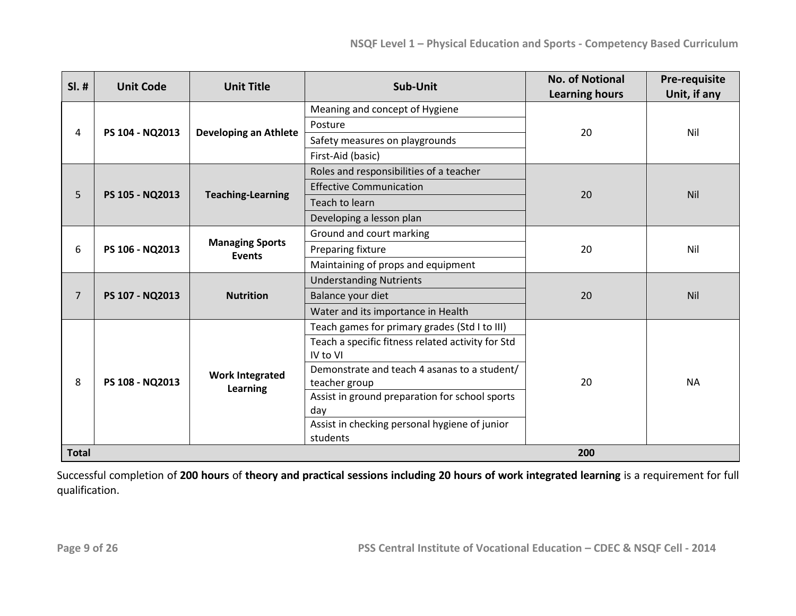| $SI.$ #              | <b>Unit Code</b>       | <b>Unit Title</b>                              | Sub-Unit                                          | <b>No. of Notional</b><br><b>Learning hours</b> | Pre-requisite<br>Unit, if any |
|----------------------|------------------------|------------------------------------------------|---------------------------------------------------|-------------------------------------------------|-------------------------------|
|                      |                        |                                                | Meaning and concept of Hygiene                    |                                                 |                               |
|                      |                        |                                                | Posture                                           |                                                 |                               |
| 4                    | PS 104 - NQ2013        | <b>Developing an Athlete</b>                   | Safety measures on playgrounds                    | 20                                              | Nil                           |
|                      |                        |                                                | First-Aid (basic)                                 |                                                 |                               |
|                      |                        |                                                | Roles and responsibilities of a teacher           |                                                 |                               |
| 5                    | PS 105 - NQ2013        | <b>Teaching-Learning</b>                       | <b>Effective Communication</b>                    | 20                                              | Nil                           |
|                      |                        |                                                | Teach to learn                                    |                                                 |                               |
|                      |                        |                                                | Developing a lesson plan                          |                                                 |                               |
|                      | PS 106 - NQ2013<br>6   |                                                | Ground and court marking                          |                                                 |                               |
|                      |                        | <b>Managing Sports</b><br><b>Events</b>        | Preparing fixture                                 | 20                                              | Nil                           |
|                      |                        |                                                | Maintaining of props and equipment                |                                                 |                               |
|                      |                        |                                                | <b>Understanding Nutrients</b>                    |                                                 | Nil                           |
| $\overline{7}$       | PS 107 - NQ2013        | <b>Nutrition</b>                               | Balance your diet                                 | 20                                              |                               |
|                      |                        |                                                | Water and its importance in Health                |                                                 |                               |
|                      |                        |                                                | Teach games for primary grades (Std I to III)     |                                                 |                               |
|                      |                        |                                                | Teach a specific fitness related activity for Std |                                                 |                               |
|                      |                        |                                                | IV to VI                                          |                                                 |                               |
| PS 108 - NQ2013<br>8 | <b>Work Integrated</b> | Demonstrate and teach 4 asanas to a student/   |                                                   |                                                 |                               |
|                      | Learning               | teacher group                                  | 20                                                | <b>NA</b>                                       |                               |
|                      |                        | Assist in ground preparation for school sports |                                                   |                                                 |                               |
|                      |                        | day                                            |                                                   |                                                 |                               |
|                      |                        |                                                | Assist in checking personal hygiene of junior     |                                                 |                               |
|                      |                        |                                                | students                                          |                                                 |                               |
| <b>Total</b>         |                        |                                                |                                                   | 200                                             |                               |

Successful completion of **200 hours** of **theory and practical sessions including 20 hours of work integrated learning** is a requirement for full qualification.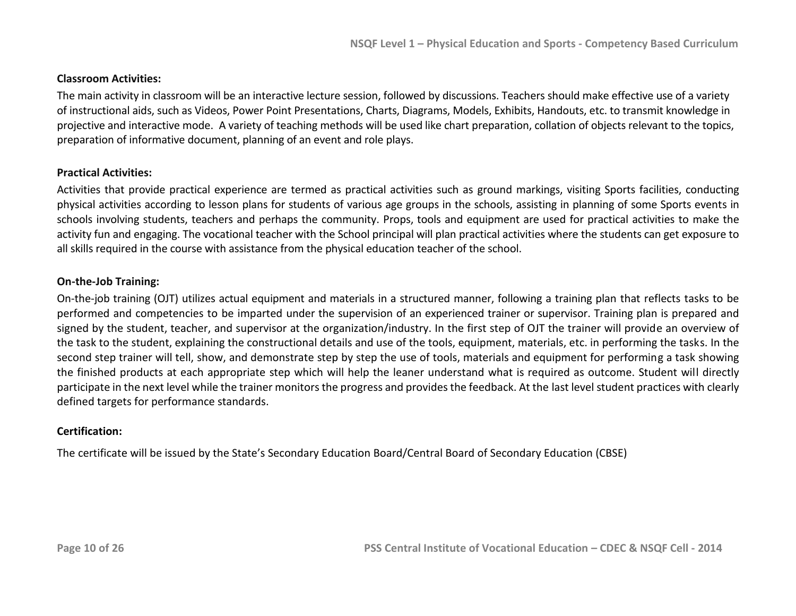### **Classroom Activities:**

The main activity in classroom will be an interactive lecture session, followed by discussions. Teachers should make effective use of a variety of instructional aids, such as Videos, Power Point Presentations, Charts, Diagrams, Models, Exhibits, Handouts, etc. to transmit knowledge in projective and interactive mode. A variety of teaching methods will be used like chart preparation, collation of objects relevant to the topics, preparation of informative document, planning of an event and role plays.

### **Practical Activities:**

Activities that provide practical experience are termed as practical activities such as ground markings, visiting Sports facilities, conducting physical activities according to lesson plans for students of various age groups in the schools, assisting in planning of some Sports events in schools involving students, teachers and perhaps the community. Props, tools and equipment are used for practical activities to make the activity fun and engaging. The vocational teacher with the School principal will plan practical activities where the students can get exposure to all skills required in the course with assistance from the physical education teacher of the school.

#### **On-the-Job Training:**

On-the-job training (OJT) utilizes actual equipment and materials in a structured manner, following a training plan that reflects tasks to be performed and competencies to be imparted under the supervision of an experienced trainer or supervisor. Training plan is prepared and signed by the student, teacher, and supervisor at the organization/industry. In the first step of OJT the trainer will provide an overview of the task to the student, explaining the constructional details and use of the tools, equipment, materials, etc. in performing the tasks. In the second step trainer will tell, show, and demonstrate step by step the use of tools, materials and equipment for performing a task showing the finished products at each appropriate step which will help the leaner understand what is required as outcome. Student will directly participate in the next level while the trainer monitors the progress and provides the feedback. At the last level student practices with clearly defined targets for performance standards.

#### **Certification:**

The certificate will be issued by the State's Secondary Education Board/Central Board of Secondary Education (CBSE)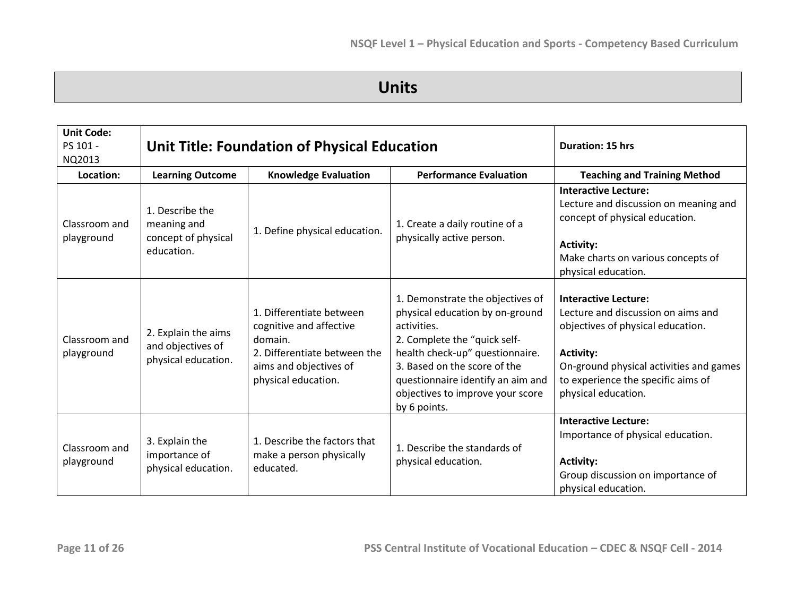# **Units**

| <b>Unit Code:</b><br>PS 101 -<br>NQ2013 | <b>Unit Title: Foundation of Physical Education</b>                 |                                                                                                                                                 |                                                                                                                                                                                                                                                                                | <b>Duration: 15 hrs</b>                                                                                                                                                                                                            |
|-----------------------------------------|---------------------------------------------------------------------|-------------------------------------------------------------------------------------------------------------------------------------------------|--------------------------------------------------------------------------------------------------------------------------------------------------------------------------------------------------------------------------------------------------------------------------------|------------------------------------------------------------------------------------------------------------------------------------------------------------------------------------------------------------------------------------|
| Location:                               | <b>Learning Outcome</b>                                             | <b>Knowledge Evaluation</b>                                                                                                                     | <b>Performance Evaluation</b>                                                                                                                                                                                                                                                  | <b>Teaching and Training Method</b>                                                                                                                                                                                                |
| Classroom and<br>playground             | 1. Describe the<br>meaning and<br>concept of physical<br>education. | 1. Define physical education.                                                                                                                   | 1. Create a daily routine of a<br>physically active person.                                                                                                                                                                                                                    | <b>Interactive Lecture:</b><br>Lecture and discussion on meaning and<br>concept of physical education.<br><b>Activity:</b><br>Make charts on various concepts of<br>physical education.                                            |
| Classroom and<br>playground             | 2. Explain the aims<br>and objectives of<br>physical education.     | 1. Differentiate between<br>cognitive and affective<br>domain.<br>2. Differentiate between the<br>aims and objectives of<br>physical education. | 1. Demonstrate the objectives of<br>physical education by on-ground<br>activities.<br>2. Complete the "quick self-<br>health check-up" questionnaire.<br>3. Based on the score of the<br>questionnaire identify an aim and<br>objectives to improve your score<br>by 6 points. | <b>Interactive Lecture:</b><br>Lecture and discussion on aims and<br>objectives of physical education.<br><b>Activity:</b><br>On-ground physical activities and games<br>to experience the specific aims of<br>physical education. |
| Classroom and<br>playground             | 3. Explain the<br>importance of<br>physical education.              | 1. Describe the factors that<br>make a person physically<br>educated.                                                                           | 1. Describe the standards of<br>physical education.                                                                                                                                                                                                                            | <b>Interactive Lecture:</b><br>Importance of physical education.<br><b>Activity:</b><br>Group discussion on importance of<br>physical education.                                                                                   |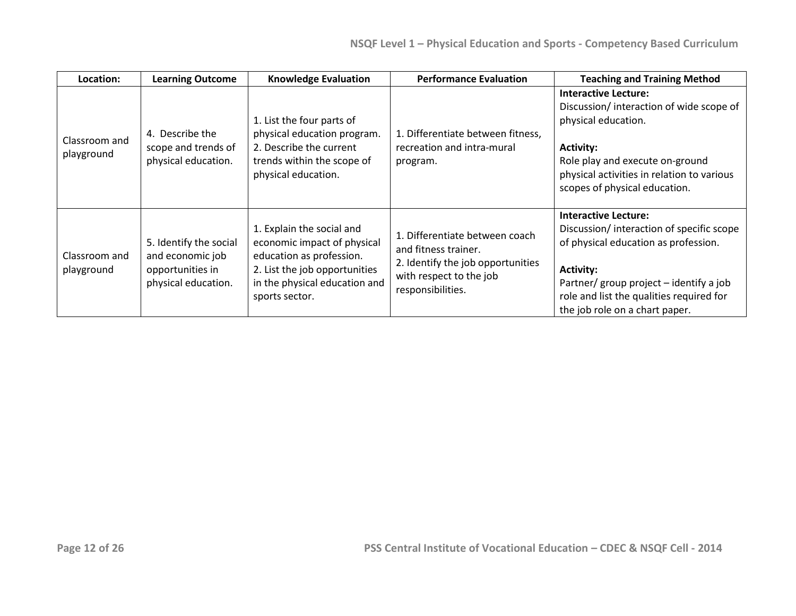| Location:                   | <b>Learning Outcome</b>                                                               | <b>Knowledge Evaluation</b>                                                                                                                                              | <b>Performance Evaluation</b>                                                                                                               | <b>Teaching and Training Method</b>                                                                                                                                                                                                                          |
|-----------------------------|---------------------------------------------------------------------------------------|--------------------------------------------------------------------------------------------------------------------------------------------------------------------------|---------------------------------------------------------------------------------------------------------------------------------------------|--------------------------------------------------------------------------------------------------------------------------------------------------------------------------------------------------------------------------------------------------------------|
| Classroom and<br>playground | 4. Describe the<br>scope and trends of<br>physical education.                         | 1. List the four parts of<br>physical education program.<br>2. Describe the current<br>trends within the scope of<br>physical education.                                 | 1. Differentiate between fitness,<br>recreation and intra-mural<br>program.                                                                 | <b>Interactive Lecture:</b><br>Discussion/interaction of wide scope of<br>physical education.<br><b>Activity:</b><br>Role play and execute on-ground<br>physical activities in relation to various<br>scopes of physical education.                          |
| Classroom and<br>playground | 5. Identify the social<br>and economic job<br>opportunities in<br>physical education. | 1. Explain the social and<br>economic impact of physical<br>education as profession.<br>2. List the job opportunities<br>in the physical education and<br>sports sector. | 1. Differentiate between coach<br>and fitness trainer.<br>2. Identify the job opportunities<br>with respect to the job<br>responsibilities. | <b>Interactive Lecture:</b><br>Discussion/interaction of specific scope<br>of physical education as profession.<br><b>Activity:</b><br>Partner/ group project – identify a job<br>role and list the qualities required for<br>the job role on a chart paper. |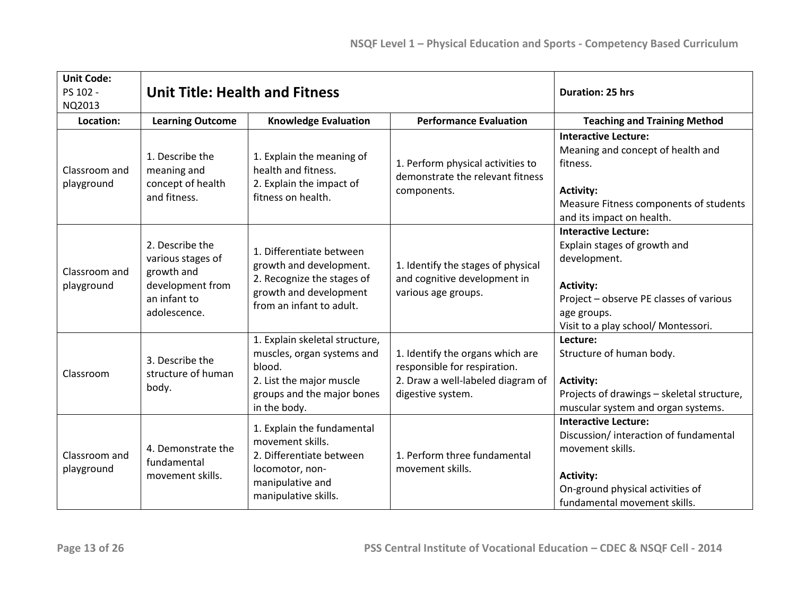| <b>Unit Code:</b><br>PS 102 -<br>NQ2013 | <b>Unit Title: Health and Fitness</b>                                                                  |                                                                                                                                                  |                                                                                                                            | <b>Duration: 25 hrs</b>                                                                                                                                                                          |
|-----------------------------------------|--------------------------------------------------------------------------------------------------------|--------------------------------------------------------------------------------------------------------------------------------------------------|----------------------------------------------------------------------------------------------------------------------------|--------------------------------------------------------------------------------------------------------------------------------------------------------------------------------------------------|
| Location:                               | <b>Learning Outcome</b>                                                                                | <b>Knowledge Evaluation</b>                                                                                                                      | <b>Performance Evaluation</b>                                                                                              | <b>Teaching and Training Method</b>                                                                                                                                                              |
| Classroom and<br>playground             | 1. Describe the<br>meaning and<br>concept of health<br>and fitness.                                    | 1. Explain the meaning of<br>health and fitness.<br>2. Explain the impact of<br>fitness on health.                                               | 1. Perform physical activities to<br>demonstrate the relevant fitness<br>components.                                       | <b>Interactive Lecture:</b><br>Meaning and concept of health and<br>fitness.<br><b>Activity:</b><br>Measure Fitness components of students<br>and its impact on health.                          |
| Classroom and<br>playground             | 2. Describe the<br>various stages of<br>growth and<br>development from<br>an infant to<br>adolescence. | 1. Differentiate between<br>growth and development.<br>2. Recognize the stages of<br>growth and development<br>from an infant to adult.          | 1. Identify the stages of physical<br>and cognitive development in<br>various age groups.                                  | <b>Interactive Lecture:</b><br>Explain stages of growth and<br>development.<br><b>Activity:</b><br>Project - observe PE classes of various<br>age groups.<br>Visit to a play school/ Montessori. |
| Classroom                               | 3. Describe the<br>structure of human<br>body.                                                         | 1. Explain skeletal structure,<br>muscles, organ systems and<br>blood.<br>2. List the major muscle<br>groups and the major bones<br>in the body. | 1. Identify the organs which are<br>responsible for respiration.<br>2. Draw a well-labeled diagram of<br>digestive system. | Lecture:<br>Structure of human body.<br><b>Activity:</b><br>Projects of drawings - skeletal structure,<br>muscular system and organ systems.                                                     |
| Classroom and<br>playground             | 4. Demonstrate the<br>fundamental<br>movement skills.                                                  | 1. Explain the fundamental<br>movement skills.<br>2. Differentiate between<br>locomotor, non-<br>manipulative and<br>manipulative skills.        | 1. Perform three fundamental<br>movement skills.                                                                           | <b>Interactive Lecture:</b><br>Discussion/ interaction of fundamental<br>movement skills.<br><b>Activity:</b><br>On-ground physical activities of<br>fundamental movement skills.                |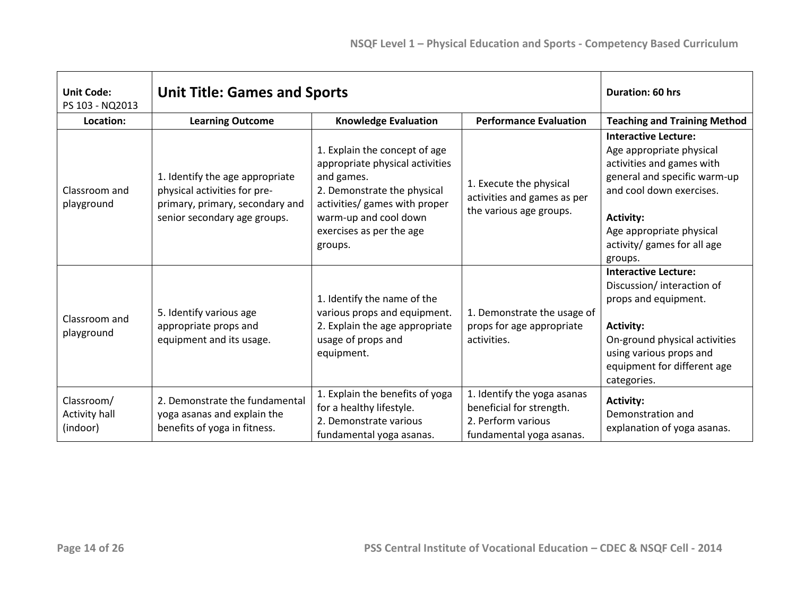| <b>Unit Code:</b><br>PS 103 - NQ2013    | <b>Unit Title: Games and Sports</b>                                                                                                |                                                                                                                                                                                                                |                                                                                                           | <b>Duration: 60 hrs</b>                                                                                                                                                                                                                    |
|-----------------------------------------|------------------------------------------------------------------------------------------------------------------------------------|----------------------------------------------------------------------------------------------------------------------------------------------------------------------------------------------------------------|-----------------------------------------------------------------------------------------------------------|--------------------------------------------------------------------------------------------------------------------------------------------------------------------------------------------------------------------------------------------|
| Location:                               | <b>Learning Outcome</b>                                                                                                            | <b>Knowledge Evaluation</b>                                                                                                                                                                                    | <b>Performance Evaluation</b>                                                                             | <b>Teaching and Training Method</b>                                                                                                                                                                                                        |
| Classroom and<br>playground             | 1. Identify the age appropriate<br>physical activities for pre-<br>primary, primary, secondary and<br>senior secondary age groups. | 1. Explain the concept of age<br>appropriate physical activities<br>and games.<br>2. Demonstrate the physical<br>activities/ games with proper<br>warm-up and cool down<br>exercises as per the age<br>groups. | 1. Execute the physical<br>activities and games as per<br>the various age groups.                         | <b>Interactive Lecture:</b><br>Age appropriate physical<br>activities and games with<br>general and specific warm-up<br>and cool down exercises.<br><b>Activity:</b><br>Age appropriate physical<br>activity/ games for all age<br>groups. |
| Classroom and<br>playground             | 5. Identify various age<br>appropriate props and<br>equipment and its usage.                                                       | 1. Identify the name of the<br>various props and equipment.<br>2. Explain the age appropriate<br>usage of props and<br>equipment.                                                                              | 1. Demonstrate the usage of<br>props for age appropriate<br>activities.                                   | <b>Interactive Lecture:</b><br>Discussion/ interaction of<br>props and equipment.<br><b>Activity:</b><br>On-ground physical activities<br>using various props and<br>equipment for different age<br>categories.                            |
| Classroom/<br>Activity hall<br>(indoor) | 2. Demonstrate the fundamental<br>yoga asanas and explain the<br>benefits of yoga in fitness.                                      | 1. Explain the benefits of yoga<br>for a healthy lifestyle.<br>2. Demonstrate various<br>fundamental yoga asanas.                                                                                              | 1. Identify the yoga asanas<br>beneficial for strength.<br>2. Perform various<br>fundamental yoga asanas. | <b>Activity:</b><br>Demonstration and<br>explanation of yoga asanas.                                                                                                                                                                       |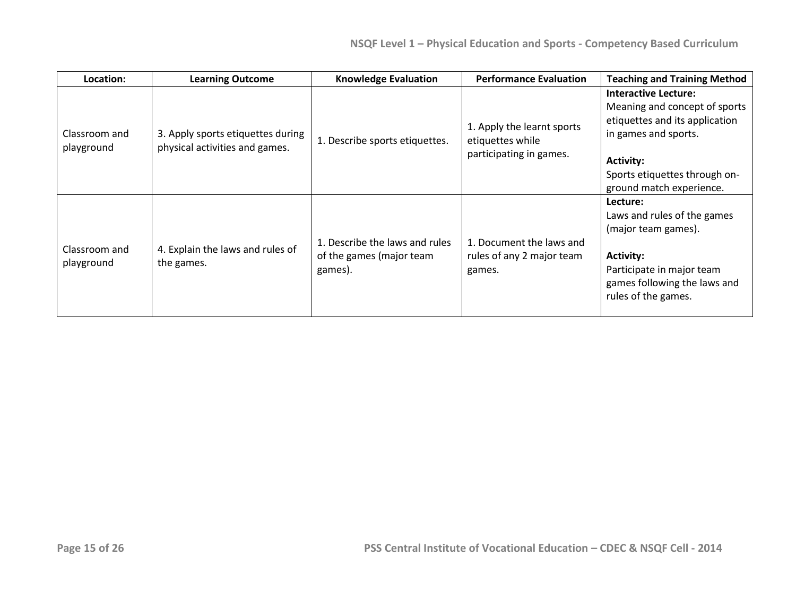| Location:                   | <b>Learning Outcome</b>                                             | <b>Knowledge Evaluation</b>                                           | <b>Performance Evaluation</b>                                             | <b>Teaching and Training Method</b>                                                                                                                                                                     |
|-----------------------------|---------------------------------------------------------------------|-----------------------------------------------------------------------|---------------------------------------------------------------------------|---------------------------------------------------------------------------------------------------------------------------------------------------------------------------------------------------------|
| Classroom and<br>playground | 3. Apply sports etiquettes during<br>physical activities and games. | 1. Describe sports etiquettes.                                        | 1. Apply the learnt sports<br>etiquettes while<br>participating in games. | <b>Interactive Lecture:</b><br>Meaning and concept of sports<br>etiquettes and its application<br>in games and sports.<br><b>Activity:</b><br>Sports etiquettes through on-<br>ground match experience. |
| Classroom and<br>playground | 4. Explain the laws and rules of<br>the games.                      | 1. Describe the laws and rules<br>of the games (major team<br>games). | 1. Document the laws and<br>rules of any 2 major team<br>games.           | Lecture:<br>Laws and rules of the games<br>(major team games).<br><b>Activity:</b><br>Participate in major team<br>games following the laws and<br>rules of the games.                                  |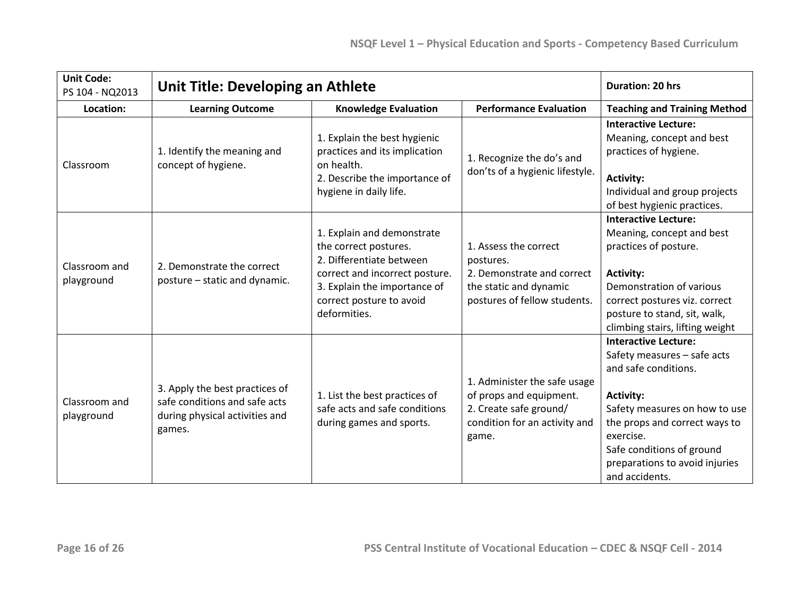| <b>Unit Code:</b><br>PS 104 - NQ2013 | <b>Unit Title: Developing an Athlete</b>                                                                    | <b>Duration: 20 hrs</b>                                                                                                                                                                       |                                                                                                                             |                                                                                                                                                                                                                                                                        |
|--------------------------------------|-------------------------------------------------------------------------------------------------------------|-----------------------------------------------------------------------------------------------------------------------------------------------------------------------------------------------|-----------------------------------------------------------------------------------------------------------------------------|------------------------------------------------------------------------------------------------------------------------------------------------------------------------------------------------------------------------------------------------------------------------|
| Location:                            | <b>Learning Outcome</b>                                                                                     | <b>Knowledge Evaluation</b>                                                                                                                                                                   | <b>Performance Evaluation</b>                                                                                               | <b>Teaching and Training Method</b>                                                                                                                                                                                                                                    |
| Classroom                            | 1. Identify the meaning and<br>concept of hygiene.                                                          | 1. Explain the best hygienic<br>practices and its implication<br>on health.<br>2. Describe the importance of<br>hygiene in daily life.                                                        | 1. Recognize the do's and<br>don'ts of a hygienic lifestyle.                                                                | <b>Interactive Lecture:</b><br>Meaning, concept and best<br>practices of hygiene.<br><b>Activity:</b><br>Individual and group projects<br>of best hygienic practices.                                                                                                  |
| Classroom and<br>playground          | 2. Demonstrate the correct<br>posture - static and dynamic.                                                 | 1. Explain and demonstrate<br>the correct postures.<br>2. Differentiate between<br>correct and incorrect posture.<br>3. Explain the importance of<br>correct posture to avoid<br>deformities. | 1. Assess the correct<br>postures.<br>2. Demonstrate and correct<br>the static and dynamic<br>postures of fellow students.  | <b>Interactive Lecture:</b><br>Meaning, concept and best<br>practices of posture.<br><b>Activity:</b><br>Demonstration of various<br>correct postures viz. correct<br>posture to stand, sit, walk,<br>climbing stairs, lifting weight                                  |
| Classroom and<br>playground          | 3. Apply the best practices of<br>safe conditions and safe acts<br>during physical activities and<br>games. | 1. List the best practices of<br>safe acts and safe conditions<br>during games and sports.                                                                                                    | 1. Administer the safe usage<br>of props and equipment.<br>2. Create safe ground/<br>condition for an activity and<br>game. | <b>Interactive Lecture:</b><br>Safety measures - safe acts<br>and safe conditions.<br><b>Activity:</b><br>Safety measures on how to use<br>the props and correct ways to<br>exercise.<br>Safe conditions of ground<br>preparations to avoid injuries<br>and accidents. |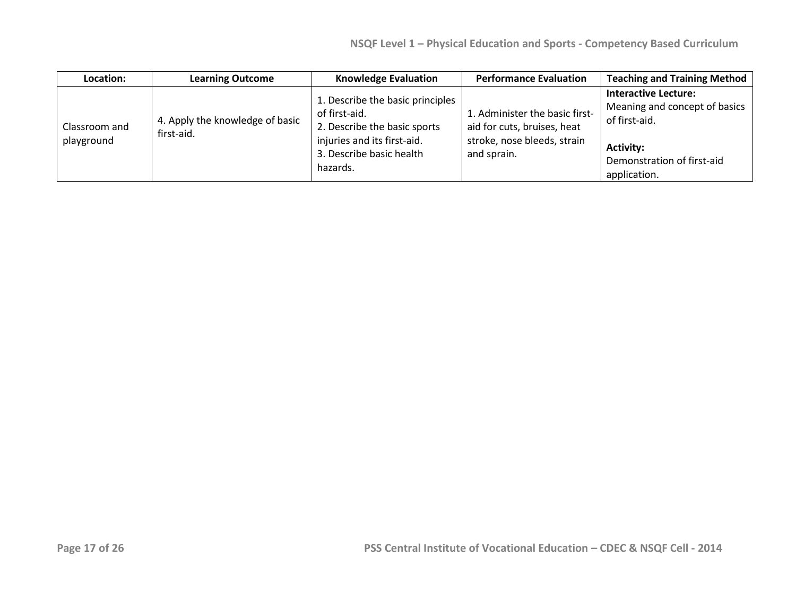| Location:                   | <b>Learning Outcome</b>                       | <b>Knowledge Evaluation</b>                                                                                                                              | <b>Performance Evaluation</b>                                                                               | <b>Teaching and Training Method</b>                                                                                                             |
|-----------------------------|-----------------------------------------------|----------------------------------------------------------------------------------------------------------------------------------------------------------|-------------------------------------------------------------------------------------------------------------|-------------------------------------------------------------------------------------------------------------------------------------------------|
| Classroom and<br>playground | 4. Apply the knowledge of basic<br>first-aid. | 1. Describe the basic principles<br>of first-aid.<br>2. Describe the basic sports<br>injuries and its first-aid.<br>3. Describe basic health<br>hazards. | 1. Administer the basic first-<br>aid for cuts, bruises, heat<br>stroke, nose bleeds, strain<br>and sprain. | <b>Interactive Lecture:</b><br>Meaning and concept of basics<br>of first-aid.<br><b>Activity:</b><br>Demonstration of first-aid<br>application. |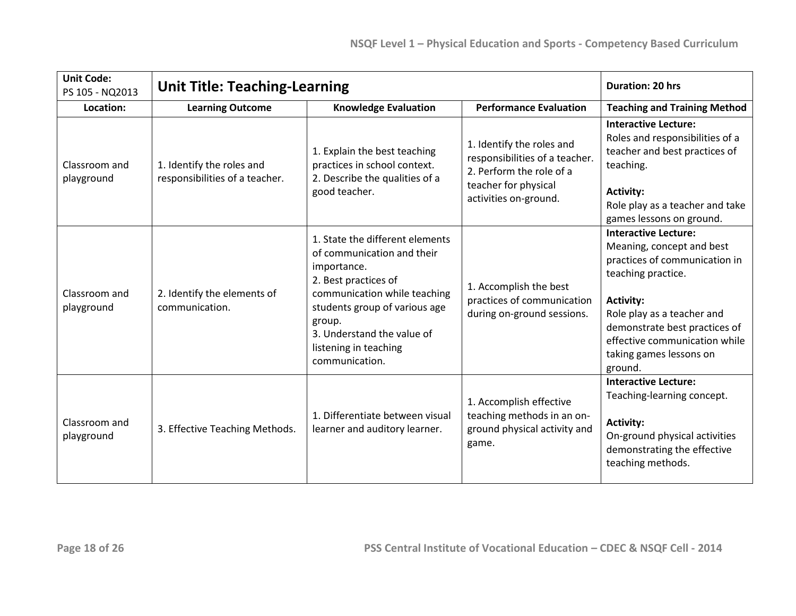| <b>Unit Code:</b><br>PS 105 - NQ2013 | <b>Unit Title: Teaching-Learning</b>                                                    |                                                                                                                                                                                                                                                          |                                                                                                                                          | <b>Duration: 20 hrs</b>                                                                                                                                                                                                                                                   |
|--------------------------------------|-----------------------------------------------------------------------------------------|----------------------------------------------------------------------------------------------------------------------------------------------------------------------------------------------------------------------------------------------------------|------------------------------------------------------------------------------------------------------------------------------------------|---------------------------------------------------------------------------------------------------------------------------------------------------------------------------------------------------------------------------------------------------------------------------|
| Location:                            | <b>Performance Evaluation</b><br><b>Learning Outcome</b><br><b>Knowledge Evaluation</b> |                                                                                                                                                                                                                                                          | <b>Teaching and Training Method</b>                                                                                                      |                                                                                                                                                                                                                                                                           |
| Classroom and<br>playground          | 1. Identify the roles and<br>responsibilities of a teacher.                             | 1. Explain the best teaching<br>practices in school context.<br>2. Describe the qualities of a<br>good teacher.                                                                                                                                          | 1. Identify the roles and<br>responsibilities of a teacher.<br>2. Perform the role of a<br>teacher for physical<br>activities on-ground. | <b>Interactive Lecture:</b><br>Roles and responsibilities of a<br>teacher and best practices of<br>teaching.<br><b>Activity:</b><br>Role play as a teacher and take<br>games lessons on ground.                                                                           |
| Classroom and<br>playground          | 2. Identify the elements of<br>communication.                                           | 1. State the different elements<br>of communication and their<br>importance.<br>2. Best practices of<br>communication while teaching<br>students group of various age<br>group.<br>3. Understand the value of<br>listening in teaching<br>communication. | 1. Accomplish the best<br>practices of communication<br>during on-ground sessions.                                                       | <b>Interactive Lecture:</b><br>Meaning, concept and best<br>practices of communication in<br>teaching practice.<br><b>Activity:</b><br>Role play as a teacher and<br>demonstrate best practices of<br>effective communication while<br>taking games lessons on<br>ground. |
| Classroom and<br>playground          | 3. Effective Teaching Methods.                                                          | 1. Differentiate between visual<br>learner and auditory learner.                                                                                                                                                                                         | 1. Accomplish effective<br>teaching methods in an on-<br>ground physical activity and<br>game.                                           | <b>Interactive Lecture:</b><br>Teaching-learning concept.<br><b>Activity:</b><br>On-ground physical activities<br>demonstrating the effective<br>teaching methods.                                                                                                        |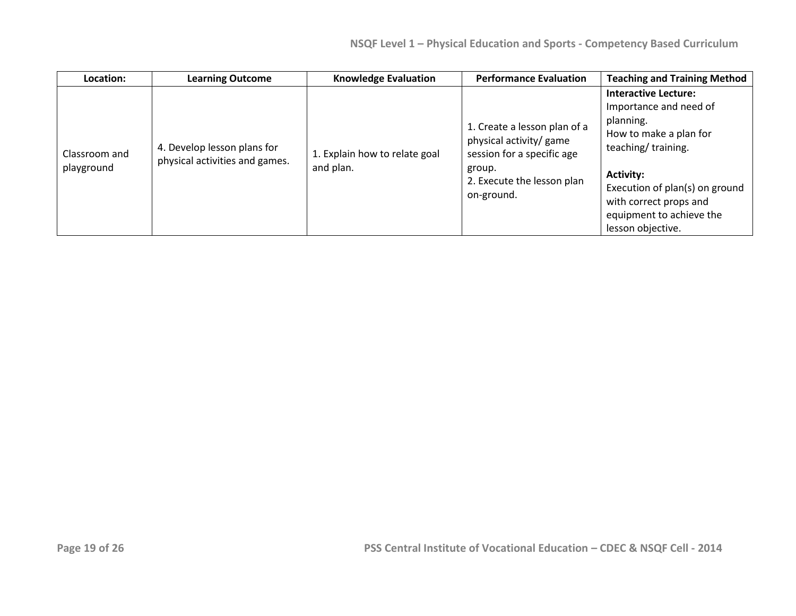| Location:                   | <b>Learning Outcome</b>                                       | <b>Knowledge Evaluation</b>                | <b>Performance Evaluation</b>                                                                                                               | <b>Teaching and Training Method</b>                                                                                                                                                                                                                 |
|-----------------------------|---------------------------------------------------------------|--------------------------------------------|---------------------------------------------------------------------------------------------------------------------------------------------|-----------------------------------------------------------------------------------------------------------------------------------------------------------------------------------------------------------------------------------------------------|
| Classroom and<br>playground | 4. Develop lesson plans for<br>physical activities and games. | 1. Explain how to relate goal<br>and plan. | 1. Create a lesson plan of a<br>physical activity/ game<br>session for a specific age<br>group.<br>2. Execute the lesson plan<br>on-ground. | <b>Interactive Lecture:</b><br>Importance and need of<br>planning.<br>How to make a plan for<br>teaching/training.<br><b>Activity:</b><br>Execution of plan(s) on ground<br>with correct props and<br>equipment to achieve the<br>lesson objective. |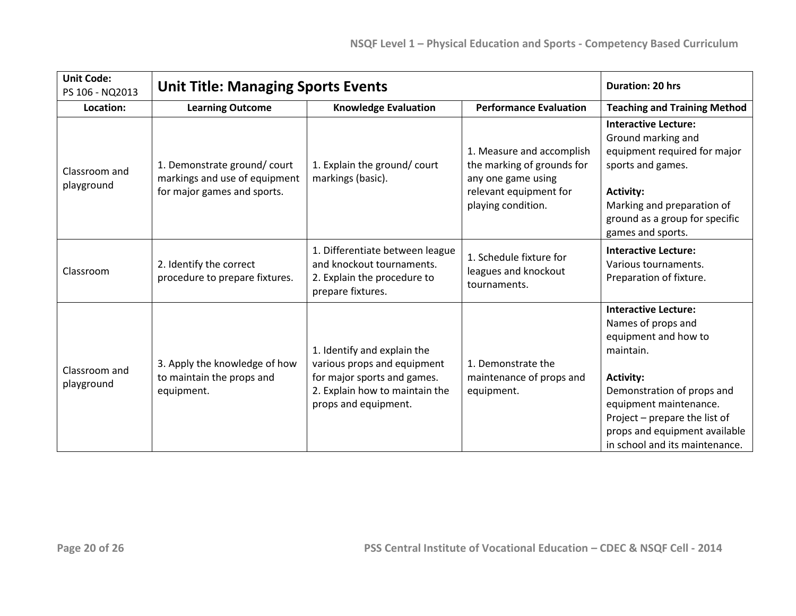| <b>Unit Code:</b><br>PS 106 - NQ2013 | <b>Unit Title: Managing Sports Events</b>                                                   |                                                                                                                                                     |                                                                                                                               | <b>Duration: 20 hrs</b>                                                                                                                                                                                                                                                |
|--------------------------------------|---------------------------------------------------------------------------------------------|-----------------------------------------------------------------------------------------------------------------------------------------------------|-------------------------------------------------------------------------------------------------------------------------------|------------------------------------------------------------------------------------------------------------------------------------------------------------------------------------------------------------------------------------------------------------------------|
| Location:                            | <b>Learning Outcome</b><br><b>Knowledge Evaluation</b><br><b>Performance Evaluation</b>     |                                                                                                                                                     | <b>Teaching and Training Method</b>                                                                                           |                                                                                                                                                                                                                                                                        |
| Classroom and<br>playground          | 1. Demonstrate ground/court<br>markings and use of equipment<br>for major games and sports. | 1. Explain the ground/court<br>markings (basic).                                                                                                    | 1. Measure and accomplish<br>the marking of grounds for<br>any one game using<br>relevant equipment for<br>playing condition. | <b>Interactive Lecture:</b><br>Ground marking and<br>equipment required for major<br>sports and games.<br><b>Activity:</b><br>Marking and preparation of<br>ground as a group for specific<br>games and sports.                                                        |
| Classroom                            | 2. Identify the correct<br>procedure to prepare fixtures.                                   | 1. Differentiate between league<br>and knockout tournaments.<br>2. Explain the procedure to<br>prepare fixtures.                                    | 1. Schedule fixture for<br>leagues and knockout<br>tournaments.                                                               | <b>Interactive Lecture:</b><br>Various tournaments.<br>Preparation of fixture.                                                                                                                                                                                         |
| Classroom and<br>playground          | 3. Apply the knowledge of how<br>to maintain the props and<br>equipment.                    | 1. Identify and explain the<br>various props and equipment<br>for major sports and games.<br>2. Explain how to maintain the<br>props and equipment. | 1. Demonstrate the<br>maintenance of props and<br>equipment.                                                                  | <b>Interactive Lecture:</b><br>Names of props and<br>equipment and how to<br>maintain.<br><b>Activity:</b><br>Demonstration of props and<br>equipment maintenance.<br>Project - prepare the list of<br>props and equipment available<br>in school and its maintenance. |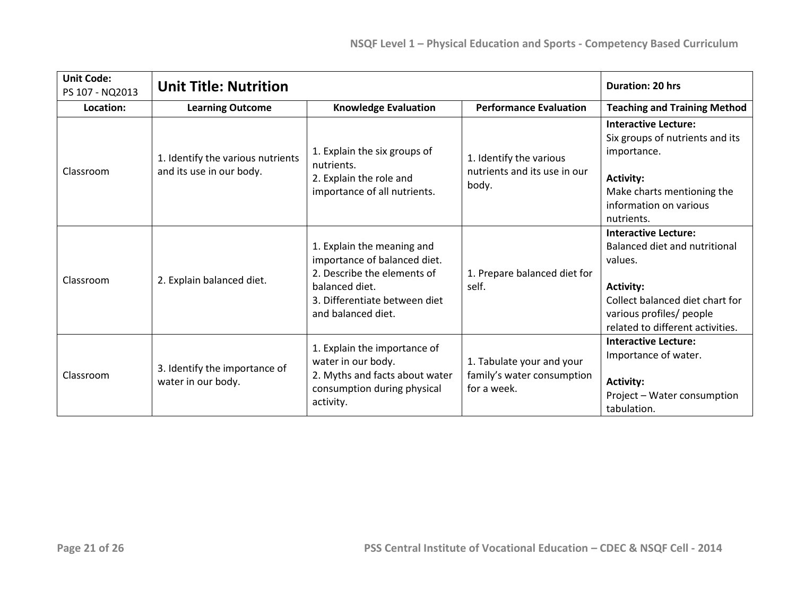| <b>Unit Code:</b><br>PS 107 - NQ2013 | <b>Unit Title: Nutrition</b>                                  |                                                                                                                                                                    |                                                                        | <b>Duration: 20 hrs</b>                                                                                                                                                                        |
|--------------------------------------|---------------------------------------------------------------|--------------------------------------------------------------------------------------------------------------------------------------------------------------------|------------------------------------------------------------------------|------------------------------------------------------------------------------------------------------------------------------------------------------------------------------------------------|
| Location:                            | <b>Learning Outcome</b>                                       | <b>Knowledge Evaluation</b>                                                                                                                                        | <b>Performance Evaluation</b>                                          | <b>Teaching and Training Method</b>                                                                                                                                                            |
| Classroom                            | 1. Identify the various nutrients<br>and its use in our body. | 1. Explain the six groups of<br>nutrients.<br>2. Explain the role and<br>importance of all nutrients.                                                              | 1. Identify the various<br>nutrients and its use in our<br>body.       | <b>Interactive Lecture:</b><br>Six groups of nutrients and its<br>importance.<br><b>Activity:</b><br>Make charts mentioning the<br>information on various<br>nutrients.                        |
| Classroom                            | 2. Explain balanced diet.                                     | 1. Explain the meaning and<br>importance of balanced diet.<br>2. Describe the elements of<br>balanced diet.<br>3. Differentiate between diet<br>and balanced diet. | 1. Prepare balanced diet for<br>self.                                  | <b>Interactive Lecture:</b><br>Balanced diet and nutritional<br>values.<br><b>Activity:</b><br>Collect balanced diet chart for<br>various profiles/ people<br>related to different activities. |
| Classroom                            | 3. Identify the importance of<br>water in our body.           | 1. Explain the importance of<br>water in our body.<br>2. Myths and facts about water<br>consumption during physical<br>activity.                                   | 1. Tabulate your and your<br>family's water consumption<br>for a week. | <b>Interactive Lecture:</b><br>Importance of water.<br><b>Activity:</b><br>Project - Water consumption<br>tabulation.                                                                          |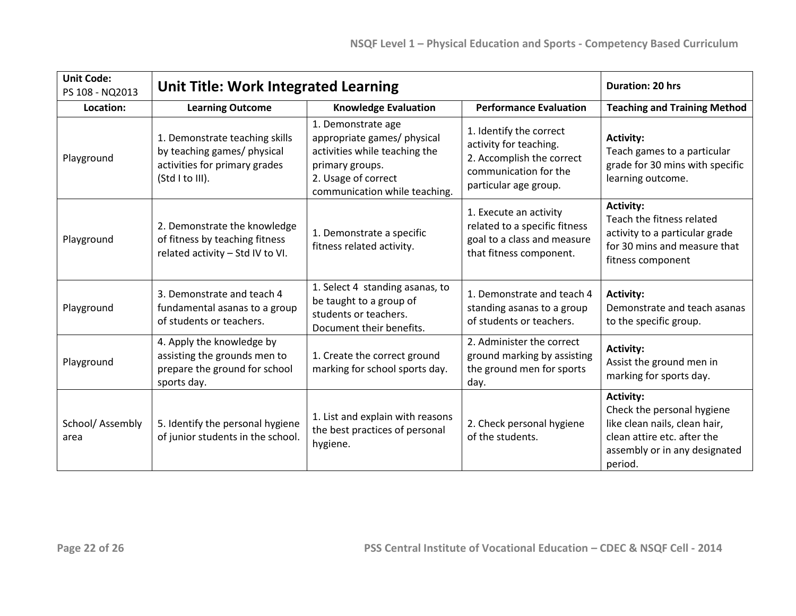| <b>Unit Code:</b><br>PS 108 - NQ2013 | <b>Unit Title: Work Integrated Learning</b>                                                                       |                                                                                                                                                               |                                                                                                                                  | <b>Duration: 20 hrs</b>                                                                                                                                    |
|--------------------------------------|-------------------------------------------------------------------------------------------------------------------|---------------------------------------------------------------------------------------------------------------------------------------------------------------|----------------------------------------------------------------------------------------------------------------------------------|------------------------------------------------------------------------------------------------------------------------------------------------------------|
| Location:                            | <b>Learning Outcome</b>                                                                                           | <b>Knowledge Evaluation</b>                                                                                                                                   | <b>Performance Evaluation</b>                                                                                                    | <b>Teaching and Training Method</b>                                                                                                                        |
| Playground                           | 1. Demonstrate teaching skills<br>by teaching games/ physical<br>activities for primary grades<br>(Std I to III). | 1. Demonstrate age<br>appropriate games/ physical<br>activities while teaching the<br>primary groups.<br>2. Usage of correct<br>communication while teaching. | 1. Identify the correct<br>activity for teaching.<br>2. Accomplish the correct<br>communication for the<br>particular age group. | <b>Activity:</b><br>Teach games to a particular<br>grade for 30 mins with specific<br>learning outcome.                                                    |
| Playground                           | 2. Demonstrate the knowledge<br>of fitness by teaching fitness<br>related activity - Std IV to VI.                | 1. Demonstrate a specific<br>fitness related activity.                                                                                                        | 1. Execute an activity<br>related to a specific fitness<br>goal to a class and measure<br>that fitness component.                | <b>Activity:</b><br>Teach the fitness related<br>activity to a particular grade<br>for 30 mins and measure that<br>fitness component                       |
| Playground                           | 3. Demonstrate and teach 4<br>fundamental asanas to a group<br>of students or teachers.                           | 1. Select 4 standing asanas, to<br>be taught to a group of<br>students or teachers.<br>Document their benefits.                                               | 1. Demonstrate and teach 4<br>standing asanas to a group<br>of students or teachers.                                             | <b>Activity:</b><br>Demonstrate and teach asanas<br>to the specific group.                                                                                 |
| Playground                           | 4. Apply the knowledge by<br>assisting the grounds men to<br>prepare the ground for school<br>sports day.         | 1. Create the correct ground<br>marking for school sports day.                                                                                                | 2. Administer the correct<br>ground marking by assisting<br>the ground men for sports<br>day.                                    | <b>Activity:</b><br>Assist the ground men in<br>marking for sports day.                                                                                    |
| School/Assembly<br>area              | 5. Identify the personal hygiene<br>of junior students in the school.                                             | 1. List and explain with reasons<br>the best practices of personal<br>hygiene.                                                                                | 2. Check personal hygiene<br>of the students.                                                                                    | <b>Activity:</b><br>Check the personal hygiene<br>like clean nails, clean hair,<br>clean attire etc. after the<br>assembly or in any designated<br>period. |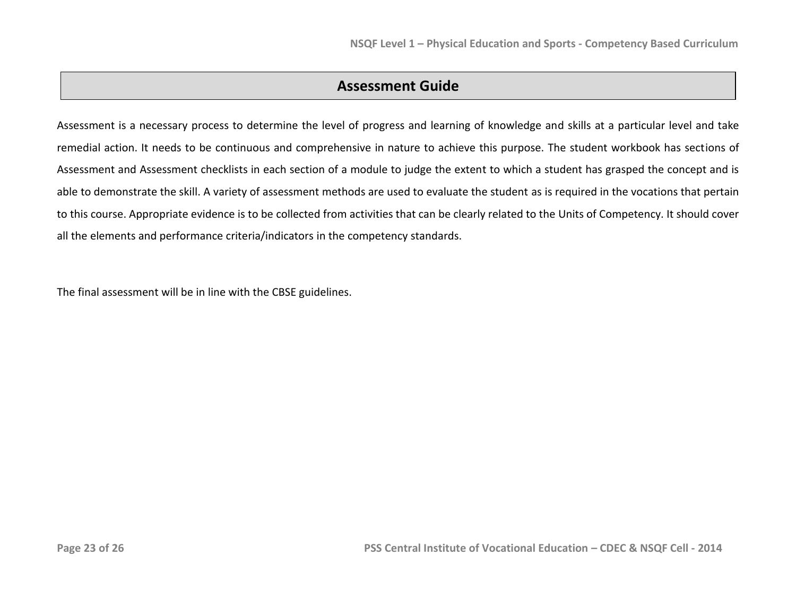## **Assessment Guide**

Assessment is a necessary process to determine the level of progress and learning of knowledge and skills at a particular level and take remedial action. It needs to be continuous and comprehensive in nature to achieve this purpose. The student workbook has sections of Assessment and Assessment checklists in each section of a module to judge the extent to which a student has grasped the concept and is able to demonstrate the skill. A variety of assessment methods are used to evaluate the student as is required in the vocations that pertain to this course. Appropriate evidence is to be collected from activities that can be clearly related to the Units of Competency. It should cover all the elements and performance criteria/indicators in the competency standards.

The final assessment will be in line with the CBSE guidelines.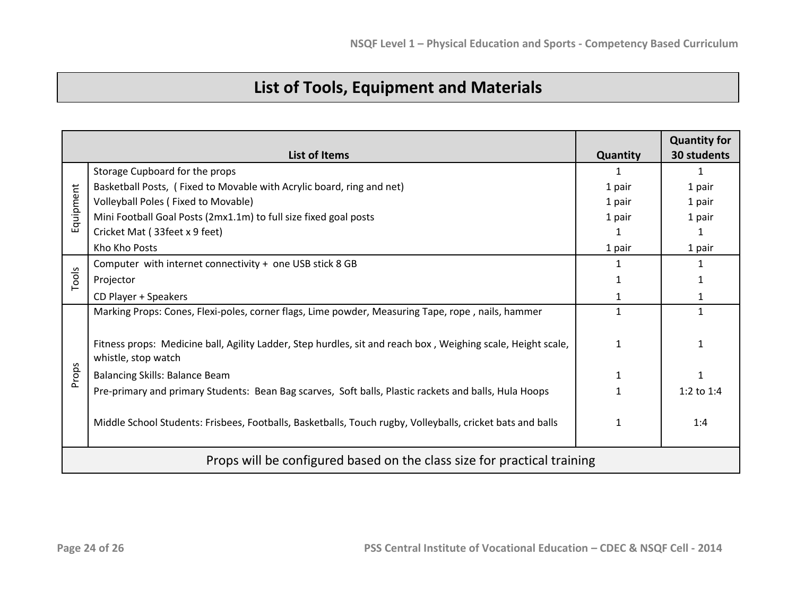# **List of Tools, Equipment and Materials**

|           |                                                                                                                                     |              | <b>Quantity for</b> |
|-----------|-------------------------------------------------------------------------------------------------------------------------------------|--------------|---------------------|
|           | <b>List of Items</b>                                                                                                                | Quantity     | 30 students         |
|           | Storage Cupboard for the props                                                                                                      |              | $\mathbf{1}$        |
|           | Basketball Posts, (Fixed to Movable with Acrylic board, ring and net)                                                               | 1 pair       | 1 pair              |
| Equipment | Volleyball Poles (Fixed to Movable)                                                                                                 | 1 pair       | 1 pair              |
|           | Mini Football Goal Posts (2mx1.1m) to full size fixed goal posts                                                                    | 1 pair       | 1 pair              |
|           | Cricket Mat (33feet x 9 feet)                                                                                                       | 1            | 1                   |
|           | Kho Kho Posts                                                                                                                       | 1 pair       | 1 pair              |
|           | Computer with internet connectivity + one USB stick 8 GB                                                                            |              | 1                   |
| Tools     | Projector                                                                                                                           | 1            | 1                   |
|           | CD Player + Speakers                                                                                                                |              | 1                   |
|           | Marking Props: Cones, Flexi-poles, corner flags, Lime powder, Measuring Tape, rope, nails, hammer                                   | $\mathbf{1}$ | 1                   |
|           | Fitness props: Medicine ball, Agility Ladder, Step hurdles, sit and reach box, Weighing scale, Height scale,<br>whistle, stop watch | 1            | 1                   |
| Props     | <b>Balancing Skills: Balance Beam</b>                                                                                               |              |                     |
|           | Pre-primary and primary Students: Bean Bag scarves, Soft balls, Plastic rackets and balls, Hula Hoops                               |              | 1:2 to $1:4$        |
|           | Middle School Students: Frisbees, Footballs, Basketballs, Touch rugby, Volleyballs, cricket bats and balls                          | 1            | 1:4                 |
|           | Props will be configured based on the class size for practical training                                                             |              |                     |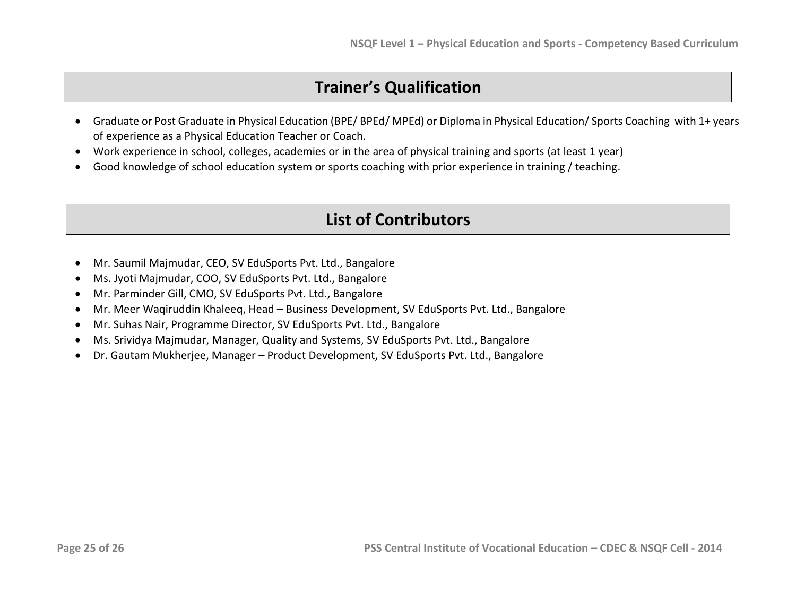# **Trainer's Qualification**

- Graduate or Post Graduate in Physical Education (BPE/ BPEd/ MPEd) or Diploma in Physical Education/ Sports Coaching with 1+ years of experience as a Physical Education Teacher or Coach.
- Work experience in school, colleges, academies or in the area of physical training and sports (at least 1 year)
- Good knowledge of school education system or sports coaching with prior experience in training / teaching.

# **List of Contributors**

- Mr. Saumil Majmudar, CEO, SV EduSports Pvt. Ltd., Bangalore
- Ms. Jyoti Majmudar, COO, SV EduSports Pvt. Ltd., Bangalore
- Mr. Parminder Gill, CMO, SV EduSports Pvt. Ltd., Bangalore
- Mr. Meer Waqiruddin Khaleeq, Head Business Development, SV EduSports Pvt. Ltd., Bangalore
- Mr. Suhas Nair, Programme Director, SV EduSports Pvt. Ltd., Bangalore
- Ms. Srividya Majmudar, Manager, Quality and Systems, SV EduSports Pvt. Ltd., Bangalore
- Dr. Gautam Mukherjee, Manager Product Development, SV EduSports Pvt. Ltd., Bangalore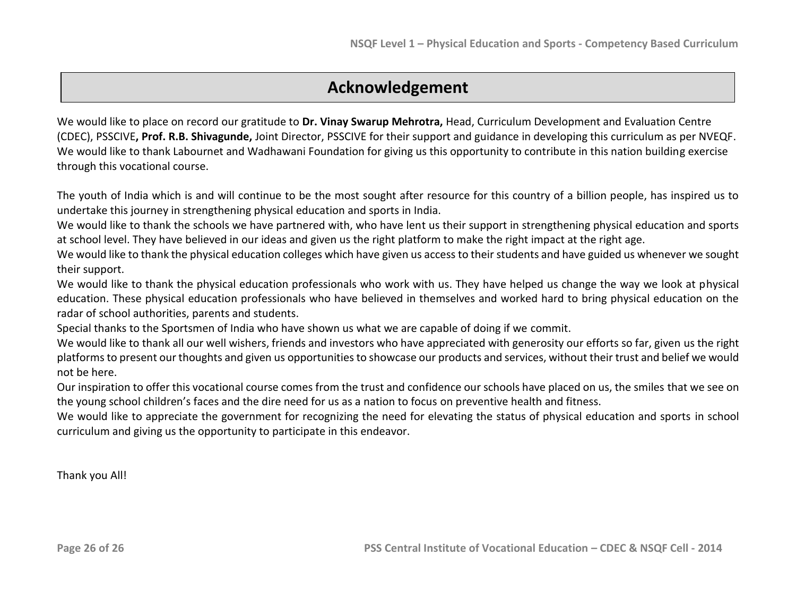# **Acknowledgement**

We would like to place on record our gratitude to **Dr. Vinay Swarup Mehrotra,** Head, Curriculum Development and Evaluation Centre (CDEC), PSSCIVE**, Prof. R.B. Shivagunde,** Joint Director, PSSCIVE for their support and guidance in developing this curriculum as per NVEQF. We would like to thank Labournet and Wadhawani Foundation for giving us this opportunity to contribute in this nation building exercise through this vocational course.

The youth of India which is and will continue to be the most sought after resource for this country of a billion people, has inspired us to undertake this journey in strengthening physical education and sports in India.

We would like to thank the schools we have partnered with, who have lent us their support in strengthening physical education and sports at school level. They have believed in our ideas and given us the right platform to make the right impact at the right age.

We would like to thank the physical education colleges which have given us access to their students and have guided us whenever we sought their support.

We would like to thank the physical education professionals who work with us. They have helped us change the way we look at physical education. These physical education professionals who have believed in themselves and worked hard to bring physical education on the radar of school authorities, parents and students.

Special thanks to the Sportsmen of India who have shown us what we are capable of doing if we commit.

We would like to thank all our well wishers, friends and investors who have appreciated with generosity our efforts so far, given us the right platforms to present our thoughts and given us opportunities to showcase our products and services, without their trust and belief we would not be here.

Our inspiration to offer this vocational course comes from the trust and confidence our schools have placed on us, the smiles that we see on the young school children's faces and the dire need for us as a nation to focus on preventive health and fitness.

We would like to appreciate the government for recognizing the need for elevating the status of physical education and sports in school curriculum and giving us the opportunity to participate in this endeavor.

Thank you All!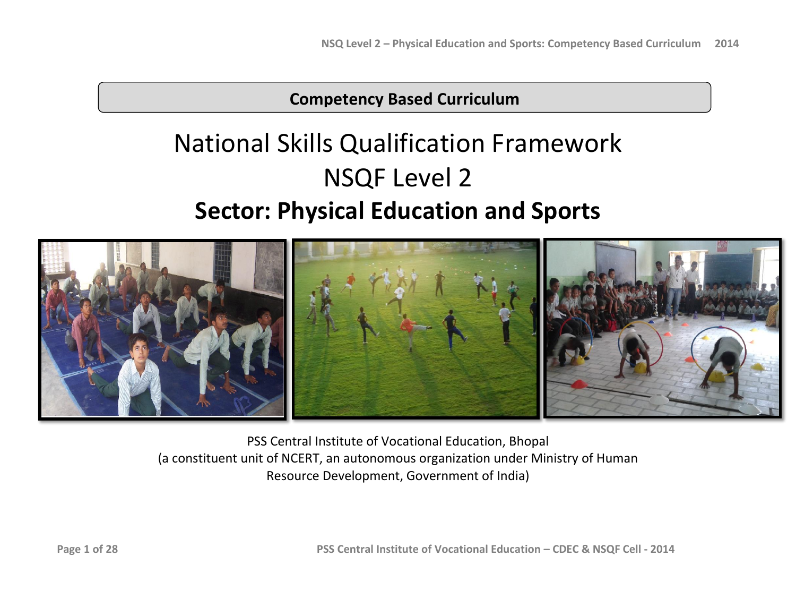# **Competency Based Curriculum**

# National Skills Qualification Framework NSQF Level 2 **Sector: Physical Education and Sports**



PSS Central Institute of Vocational Education, Bhopal (a constituent unit of NCERT, an autonomous organization under Ministry of Human Resource Development, Government of India)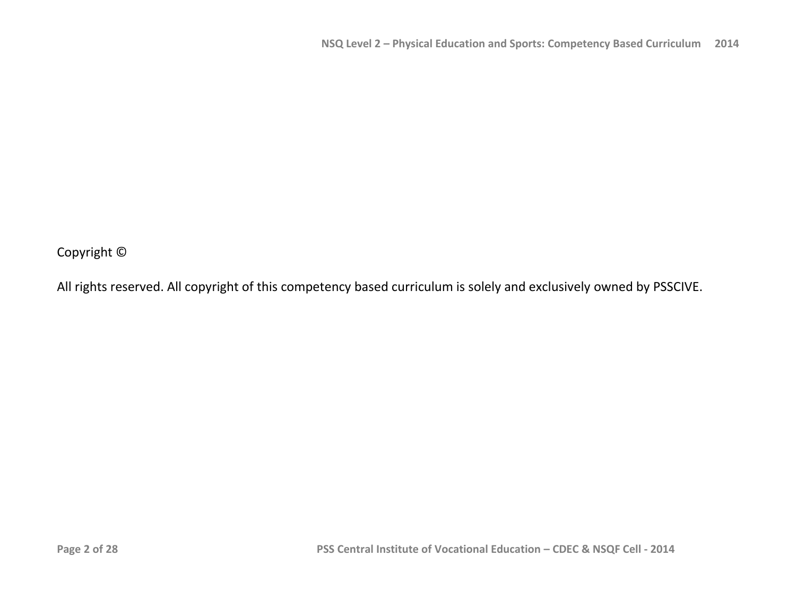Copyright ©

All rights reserved. All copyright of this competency based curriculum is solely and exclusively owned by PSSCIVE.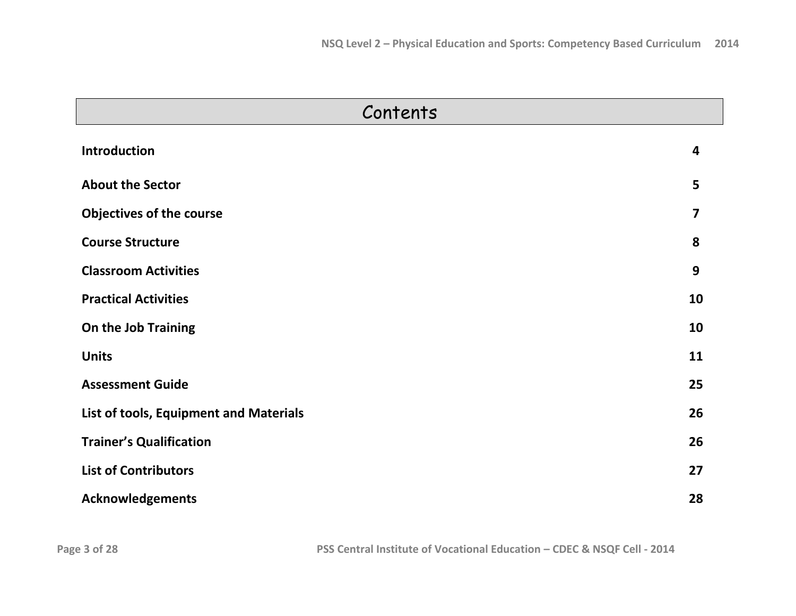| Contents                               |                         |
|----------------------------------------|-------------------------|
| <b>Introduction</b>                    | 4                       |
| <b>About the Sector</b>                | 5                       |
| <b>Objectives of the course</b>        | $\overline{\mathbf{z}}$ |
| <b>Course Structure</b>                | 8                       |
| <b>Classroom Activities</b>            | 9                       |
| <b>Practical Activities</b>            | 10                      |
| On the Job Training                    | 10                      |
| <b>Units</b>                           | 11                      |
| <b>Assessment Guide</b>                | 25                      |
| List of tools, Equipment and Materials | 26                      |
| <b>Trainer's Qualification</b>         | 26                      |
| <b>List of Contributors</b>            | 27                      |
| <b>Acknowledgements</b>                | 28                      |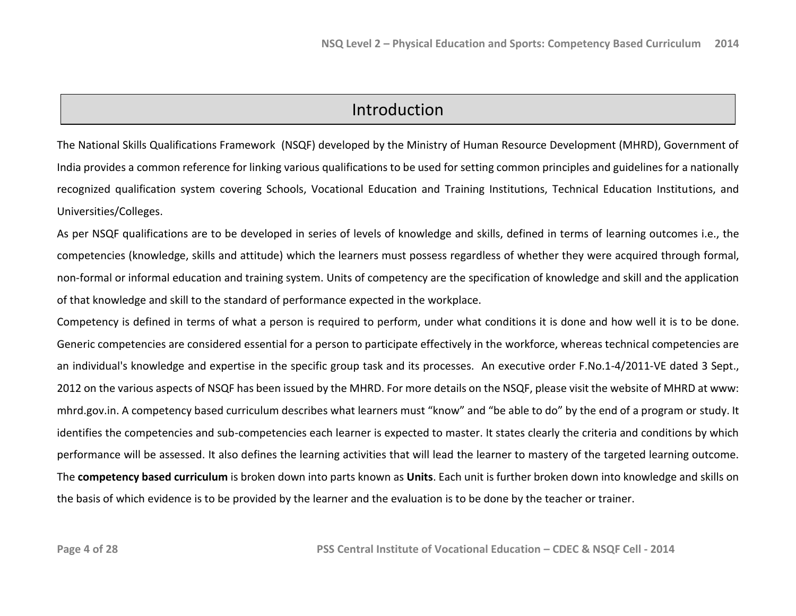## Introduction

The National Skills Qualifications Framework (NSQF) developed by the Ministry of Human Resource Development (MHRD), Government of India provides a common reference for linking various qualifications to be used for setting common principles and guidelines for a nationally recognized qualification system covering Schools, Vocational Education and Training Institutions, Technical Education Institutions, and Universities/Colleges.

As per NSQF qualifications are to be developed in series of levels of knowledge and skills, defined in terms of learning outcomes i.e., the competencies (knowledge, skills and attitude) which the learners must possess regardless of whether they were acquired through formal, non-formal or informal education and training system. Units of competency are the specification of knowledge and skill and the application of that knowledge and skill to the standard of performance expected in the workplace.

Competency is defined in terms of what a person is required to perform, under what conditions it is done and how well it is to be done. Generic competencies are considered essential for a person to participate effectively in the workforce, whereas technical competencies are an individual's knowledge and expertise in the specific group task and its processes. An executive order F.No.1-4/2011-VE dated 3 Sept., 2012 on the various aspects of NSQF has been issued by the MHRD. For more details on the NSQF, please visit the website of MHRD at www: mhrd.gov.in. A competency based curriculum describes what learners must "know" and "be able to do" by the end of a program or study. It identifies the competencies and sub-competencies each learner is expected to master. It states clearly the criteria and conditions by which performance will be assessed. It also defines the learning activities that will lead the learner to mastery of the targeted learning outcome. The **competency based curriculum** is broken down into parts known as **Units**. Each unit is further broken down into knowledge and skills on the basis of which evidence is to be provided by the learner and the evaluation is to be done by the teacher or trainer.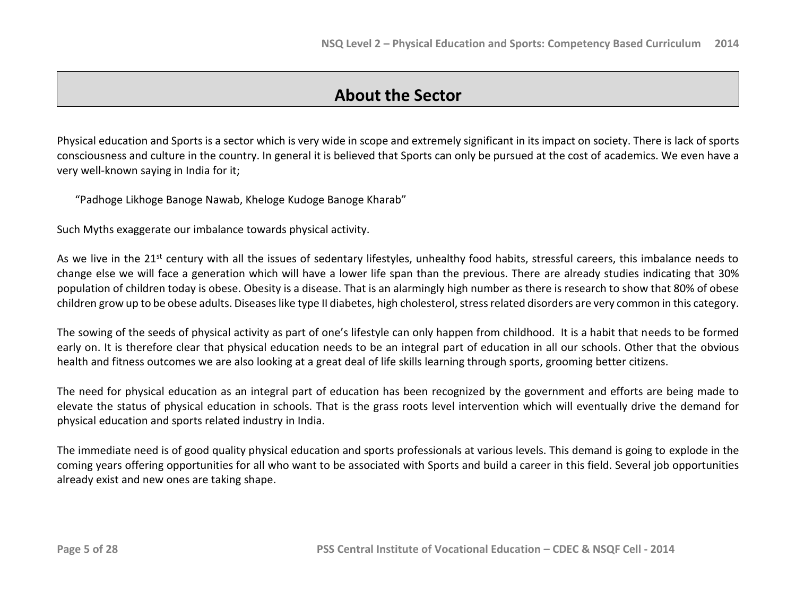## **About the Sector**

Physical education and Sports is a sector which is very wide in scope and extremely significant in its impact on society. There is lack of sports consciousness and culture in the country. In general it is believed that Sports can only be pursued at the cost of academics. We even have a very well-known saying in India for it;

"Padhoge Likhoge Banoge Nawab, Kheloge Kudoge Banoge Kharab"

Such Myths exaggerate our imbalance towards physical activity.

As we live in the 21<sup>st</sup> century with all the issues of sedentary lifestyles, unhealthy food habits, stressful careers, this imbalance needs to change else we will face a generation which will have a lower life span than the previous. There are already studies indicating that 30% population of children today is obese. Obesity is a disease. That is an alarmingly high number as there is research to show that 80% of obese children grow up to be obese adults. Diseases like type II diabetes, high cholesterol, stress related disorders are very common in this category.

The sowing of the seeds of physical activity as part of one's lifestyle can only happen from childhood. It is a habit that needs to be formed early on. It is therefore clear that physical education needs to be an integral part of education in all our schools. Other that the obvious health and fitness outcomes we are also looking at a great deal of life skills learning through sports, grooming better citizens.

The need for physical education as an integral part of education has been recognized by the government and efforts are being made to elevate the status of physical education in schools. That is the grass roots level intervention which will eventually drive the demand for physical education and sports related industry in India.

The immediate need is of good quality physical education and sports professionals at various levels. This demand is going to explode in the coming years offering opportunities for all who want to be associated with Sports and build a career in this field. Several job opportunities already exist and new ones are taking shape.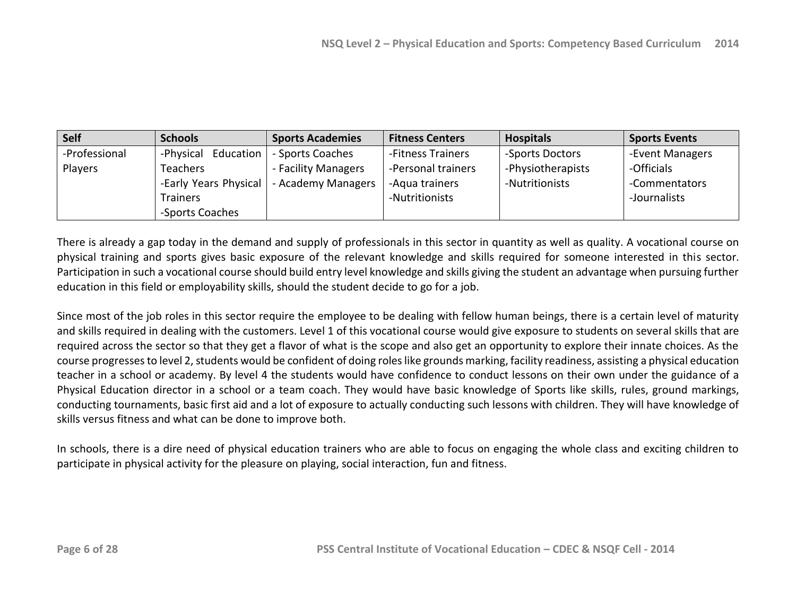| <b>Self</b>   | <b>Schools</b>           | <b>Sports Academies</b> | <b>Fitness Centers</b> | <b>Hospitals</b>  | <b>Sports Events</b> |
|---------------|--------------------------|-------------------------|------------------------|-------------------|----------------------|
| -Professional | Education  <br>-Physical | - Sports Coaches        | -Fitness Trainers      | -Sports Doctors   | -Event Managers      |
| Players       | Teachers                 | - Facility Managers     | -Personal trainers     | -Physiotherapists | -Officials           |
|               | -Early Years Physical    | - Academy Managers      | -Aqua trainers         | -Nutritionists    | -Commentators        |
|               | <b>Trainers</b>          |                         | -Nutritionists         |                   | -Journalists         |
|               | -Sports Coaches          |                         |                        |                   |                      |

There is already a gap today in the demand and supply of professionals in this sector in quantity as well as quality. A vocational course on physical training and sports gives basic exposure of the relevant knowledge and skills required for someone interested in this sector. Participation in such a vocational course should build entry level knowledge and skills giving the student an advantage when pursuing further education in this field or employability skills, should the student decide to go for a job.

Since most of the job roles in this sector require the employee to be dealing with fellow human beings, there is a certain level of maturity and skills required in dealing with the customers. Level 1 of this vocational course would give exposure to students on several skills that are required across the sector so that they get a flavor of what is the scope and also get an opportunity to explore their innate choices. As the course progresses to level 2, students would be confident of doing roles like grounds marking, facility readiness, assisting a physical education teacher in a school or academy. By level 4 the students would have confidence to conduct lessons on their own under the guidance of a Physical Education director in a school or a team coach. They would have basic knowledge of Sports like skills, rules, ground markings, conducting tournaments, basic first aid and a lot of exposure to actually conducting such lessons with children. They will have knowledge of skills versus fitness and what can be done to improve both.

In schools, there is a dire need of physical education trainers who are able to focus on engaging the whole class and exciting children to participate in physical activity for the pleasure on playing, social interaction, fun and fitness.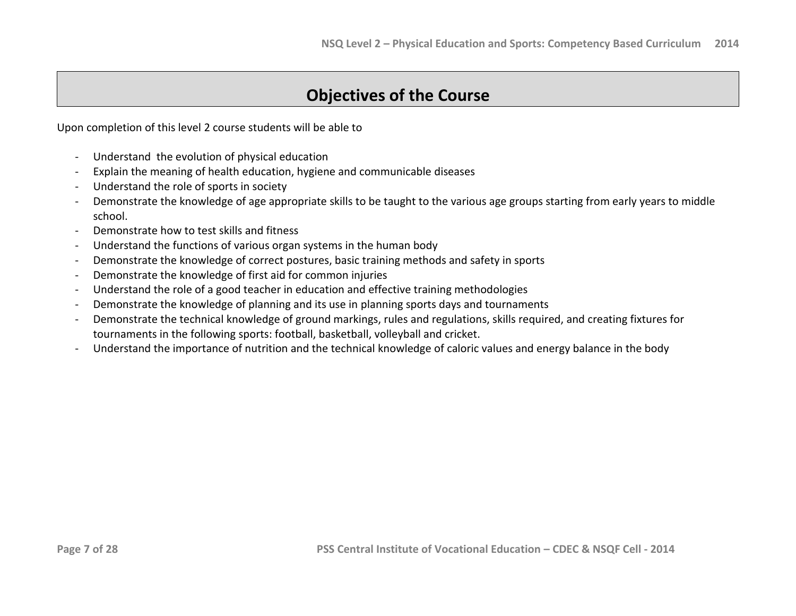# **Objectives of the Course**

Upon completion of this level 2 course students will be able to

- Understand the evolution of physical education
- Explain the meaning of health education, hygiene and communicable diseases
- Understand the role of sports in society
- Demonstrate the knowledge of age appropriate skills to be taught to the various age groups starting from early years to middle school.
- Demonstrate how to test skills and fitness
- Understand the functions of various organ systems in the human body
- Demonstrate the knowledge of correct postures, basic training methods and safety in sports
- Demonstrate the knowledge of first aid for common injuries
- Understand the role of a good teacher in education and effective training methodologies
- Demonstrate the knowledge of planning and its use in planning sports days and tournaments
- Demonstrate the technical knowledge of ground markings, rules and regulations, skills required, and creating fixtures for tournaments in the following sports: football, basketball, volleyball and cricket.
- Understand the importance of nutrition and the technical knowledge of caloric values and energy balance in the body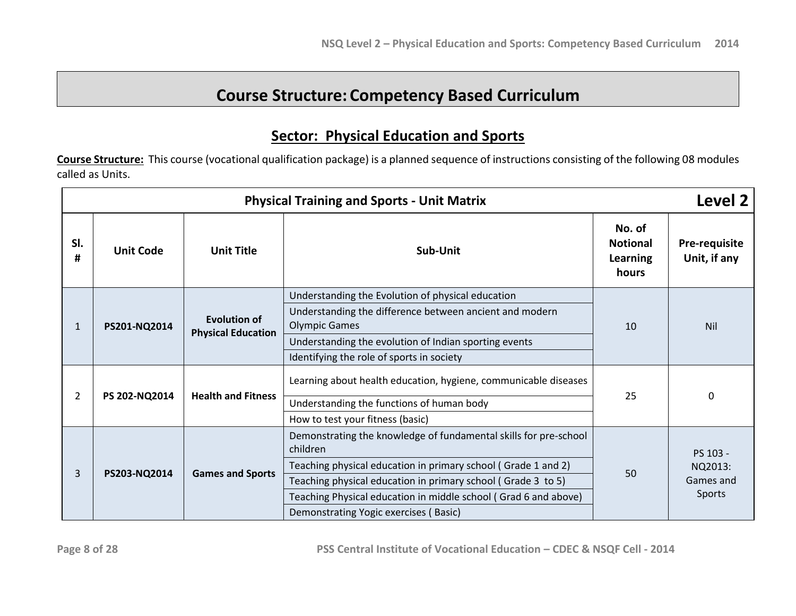# **Course Structure: Competency Based Curriculum**

## **Sector: Physical Education and Sports**

**Course Structure:** This course (vocational qualification package) is a planned sequence of instructions consisting of the following 08 modules called as Units.

|          | Level 2<br><b>Physical Training and Sports - Unit Matrix</b> |                                                  |                                                                                 |                               |           |
|----------|--------------------------------------------------------------|--------------------------------------------------|---------------------------------------------------------------------------------|-------------------------------|-----------|
| SI.<br># | <b>Unit Code</b><br><b>Unit Title</b><br>Sub-Unit            |                                                  | No. of<br><b>Notional</b><br>Learning<br>hours                                  | Pre-requisite<br>Unit, if any |           |
|          |                                                              |                                                  | Understanding the Evolution of physical education                               |                               |           |
| 1        | PS201-NQ2014                                                 | <b>Evolution of</b><br><b>Physical Education</b> | Understanding the difference between ancient and modern<br><b>Olympic Games</b> | 10                            | Nil       |
|          |                                                              |                                                  | Understanding the evolution of Indian sporting events                           |                               |           |
|          |                                                              |                                                  | Identifying the role of sports in society                                       |                               |           |
|          |                                                              | <b>Health and Fitness</b><br>PS 202-NQ2014       | Learning about health education, hygiene, communicable diseases                 |                               | 0         |
| 2        |                                                              |                                                  | Understanding the functions of human body                                       | 25                            |           |
|          |                                                              |                                                  | How to test your fitness (basic)                                                |                               |           |
|          |                                                              |                                                  | Demonstrating the knowledge of fundamental skills for pre-school<br>children    |                               | PS 103 -  |
|          |                                                              |                                                  | Teaching physical education in primary school (Grade 1 and 2)                   |                               | NQ2013:   |
| 3        | PS203-NQ2014                                                 | <b>Games and Sports</b>                          | Teaching physical education in primary school (Grade 3 to 5)                    | 50                            | Games and |
|          |                                                              |                                                  | Teaching Physical education in middle school (Grad 6 and above)                 |                               | Sports    |
|          |                                                              |                                                  | Demonstrating Yogic exercises (Basic)                                           |                               |           |

**Page 8 of 28 PSS Central Institute of Vocational Education – CDEC & NSQF Cell - 2014**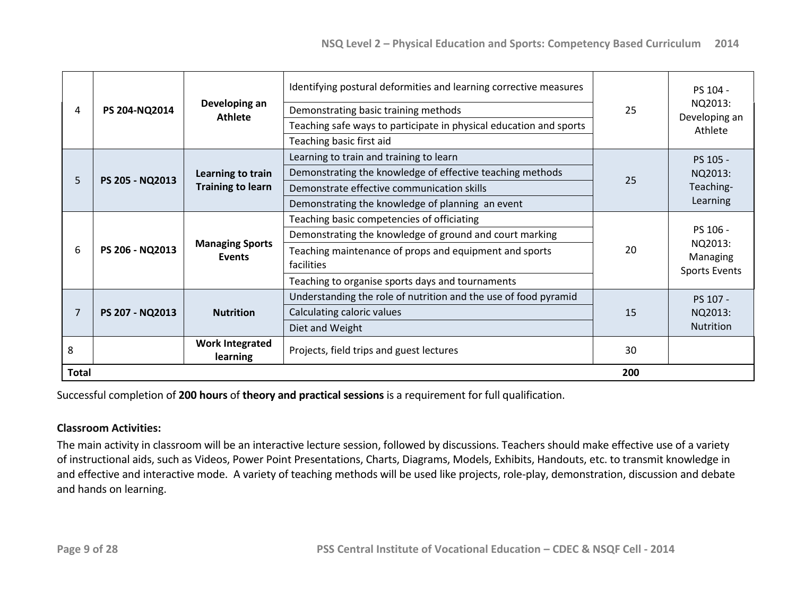| 4                 | PS 204-NQ2014   | Identifying postural deformities and learning corrective measures<br>Developing an<br>Demonstrating basic training methods<br><b>Athlete</b><br>Teaching safe ways to participate in physical education and sports<br>Teaching basic first aid |                                                                                                                                                                                                                                   | 25        | PS 104 -<br>NQ2013:<br>Developing an<br>Athlete         |
|-------------------|-----------------|------------------------------------------------------------------------------------------------------------------------------------------------------------------------------------------------------------------------------------------------|-----------------------------------------------------------------------------------------------------------------------------------------------------------------------------------------------------------------------------------|-----------|---------------------------------------------------------|
| 5.                | PS 205 - NQ2013 | Learning to train<br><b>Training to learn</b>                                                                                                                                                                                                  | Learning to train and training to learn<br>Demonstrating the knowledge of effective teaching methods<br>Demonstrate effective communication skills<br>Demonstrating the knowledge of planning an event                            | 25        | PS 105 -<br>NQ2013:<br>Teaching-<br>Learning            |
| 6                 | PS 206 - NQ2013 | <b>Managing Sports</b><br><b>Events</b>                                                                                                                                                                                                        | Teaching basic competencies of officiating<br>Demonstrating the knowledge of ground and court marking<br>Teaching maintenance of props and equipment and sports<br>facilities<br>Teaching to organise sports days and tournaments | 20        | PS 106 -<br>NQ2013:<br>Managing<br><b>Sports Events</b> |
| 7                 | PS 207 - NQ2013 | <b>Nutrition</b>                                                                                                                                                                                                                               | Understanding the role of nutrition and the use of food pyramid<br>Calculating caloric values<br>Diet and Weight                                                                                                                  | 15        | PS 107 -<br>NQ2013:<br>Nutrition                        |
| 8<br><b>Total</b> |                 | <b>Work Integrated</b><br>learning                                                                                                                                                                                                             | Projects, field trips and guest lectures                                                                                                                                                                                          | 30<br>200 |                                                         |

Successful completion of **200 hours** of **theory and practical sessions** is a requirement for full qualification.

### **Classroom Activities:**

The main activity in classroom will be an interactive lecture session, followed by discussions. Teachers should make effective use of a variety of instructional aids, such as Videos, Power Point Presentations, Charts, Diagrams, Models, Exhibits, Handouts, etc. to transmit knowledge in and effective and interactive mode. A variety of teaching methods will be used like projects, role-play, demonstration, discussion and debate and hands on learning.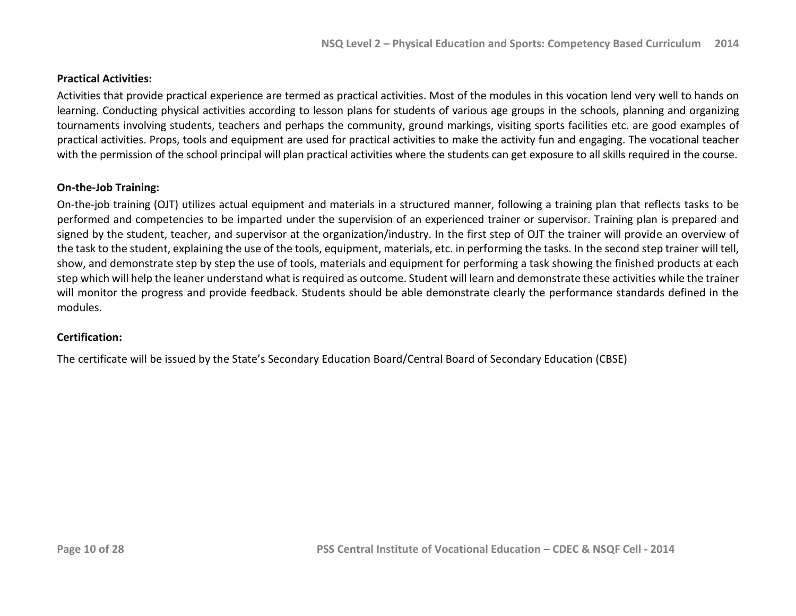### **Practical Activities:**

Activities that provide practical experience are termed as practical activities. Most of the modules in this vocation lend very well to hands on learning. Conducting physical activities according to lesson plans for students of various age groups in the schools, planning and organizing tournaments involving students, teachers and perhaps the community, ground markings, visiting sports facilities etc. are good examples of practical activities. Props, tools and equipment are used for practical activities to make the activity fun and engaging. The vocational teacher with the permission of the school principal will plan practical activities where the students can get exposure to all skills required in the course.

### **On-the-Job Training:**

On-the-job training (OJT) utilizes actual equipment and materials in a structured manner, following a training plan that reflects tasks to be performed and competencies to be imparted under the supervision of an experienced trainer or supervisor. Training plan is prepared and signed by the student, teacher, and supervisor at the organization/industry. In the first step of OJT the trainer will provide an overview of the task to the student, explaining the use of the tools, equipment, materials, etc. in performing the tasks. In the second step trainer will tell, show, and demonstrate step by step the use of tools, materials and equipment for performing a task showing the finished products at each step which will help the leaner understand what is required as outcome. Student will learn and demonstrate these activities while the trainer will monitor the progress and provide feedback. Students should be able demonstrate clearly the performance standards defined in the modules.

### **Certification:**

The certificate will be issued by the State's Secondary Education Board/Central Board of Secondary Education (CBSE)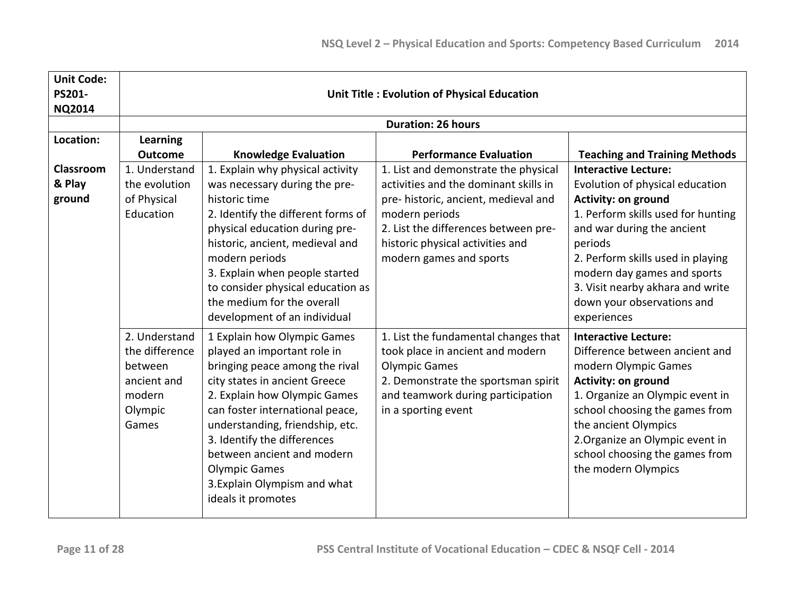| <b>Unit Code:</b> |                |                                    |                                                    |                                      |  |
|-------------------|----------------|------------------------------------|----------------------------------------------------|--------------------------------------|--|
| PS201-            |                |                                    | <b>Unit Title: Evolution of Physical Education</b> |                                      |  |
| <b>NQ2014</b>     |                |                                    |                                                    |                                      |  |
|                   |                |                                    | <b>Duration: 26 hours</b>                          |                                      |  |
| Location:         | Learning       |                                    |                                                    |                                      |  |
|                   | <b>Outcome</b> | <b>Knowledge Evaluation</b>        | <b>Performance Evaluation</b>                      | <b>Teaching and Training Methods</b> |  |
| <b>Classroom</b>  | 1. Understand  | 1. Explain why physical activity   | 1. List and demonstrate the physical               | <b>Interactive Lecture:</b>          |  |
| & Play            | the evolution  | was necessary during the pre-      | activities and the dominant skills in              | Evolution of physical education      |  |
| ground            | of Physical    | historic time                      | pre- historic, ancient, medieval and               | Activity: on ground                  |  |
|                   | Education      | 2. Identify the different forms of | modern periods                                     | 1. Perform skills used for hunting   |  |
|                   |                | physical education during pre-     | 2. List the differences between pre-               | and war during the ancient           |  |
|                   |                | historic, ancient, medieval and    | historic physical activities and                   | periods                              |  |
|                   |                | modern periods                     | modern games and sports                            | 2. Perform skills used in playing    |  |
|                   |                | 3. Explain when people started     |                                                    | modern day games and sports          |  |
|                   |                | to consider physical education as  |                                                    | 3. Visit nearby akhara and write     |  |
|                   |                | the medium for the overall         |                                                    | down your observations and           |  |
|                   |                | development of an individual       |                                                    | experiences                          |  |
|                   | 2. Understand  | 1 Explain how Olympic Games        | 1. List the fundamental changes that               | <b>Interactive Lecture:</b>          |  |
|                   | the difference | played an important role in        | took place in ancient and modern                   | Difference between ancient and       |  |
|                   | between        | bringing peace among the rival     | <b>Olympic Games</b>                               | modern Olympic Games                 |  |
|                   | ancient and    | city states in ancient Greece      | 2. Demonstrate the sportsman spirit                | <b>Activity: on ground</b>           |  |
|                   | modern         | 2. Explain how Olympic Games       | and teamwork during participation                  | 1. Organize an Olympic event in      |  |
|                   | Olympic        | can foster international peace,    | in a sporting event                                | school choosing the games from       |  |
|                   | Games          | understanding, friendship, etc.    |                                                    | the ancient Olympics                 |  |
|                   |                | 3. Identify the differences        |                                                    | 2. Organize an Olympic event in      |  |
|                   |                | between ancient and modern         |                                                    | school choosing the games from       |  |
|                   |                | <b>Olympic Games</b>               |                                                    | the modern Olympics                  |  |
|                   |                | 3. Explain Olympism and what       |                                                    |                                      |  |
|                   |                | ideals it promotes                 |                                                    |                                      |  |
|                   |                |                                    |                                                    |                                      |  |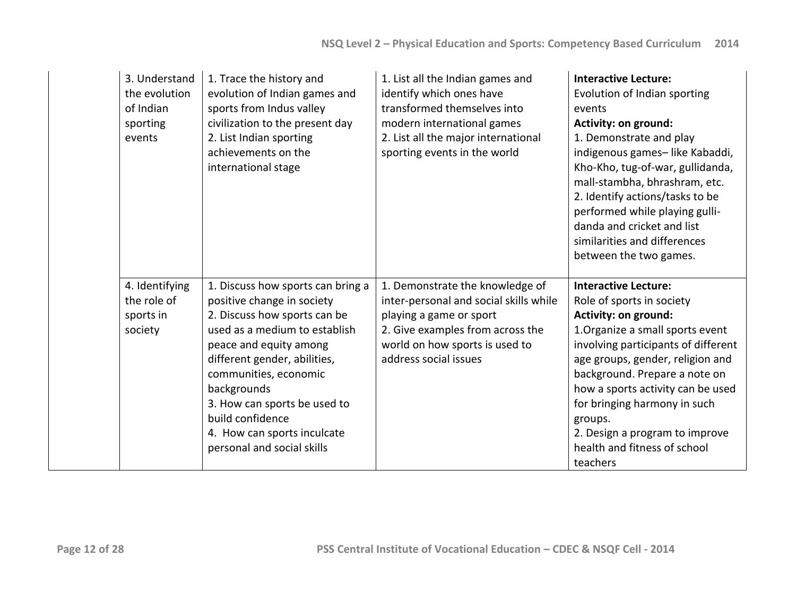| 3. Understand<br>the evolution<br>of Indian<br>sporting<br>events | 1. Trace the history and<br>evolution of Indian games and<br>sports from Indus valley<br>civilization to the present day<br>2. List Indian sporting<br>achievements on the<br>international stage                                                                                                                                                   | 1. List all the Indian games and<br>identify which ones have<br>transformed themselves into<br>modern international games<br>2. List all the major international<br>sporting events in the world    | <b>Interactive Lecture:</b><br>Evolution of Indian sporting<br>events<br>Activity: on ground:<br>1. Demonstrate and play<br>indigenous games-like Kabaddi,<br>Kho-Kho, tug-of-war, gullidanda,<br>mall-stambha, bhrashram, etc.<br>2. Identify actions/tasks to be<br>performed while playing gulli-<br>danda and cricket and list<br>similarities and differences<br>between the two games.   |
|-------------------------------------------------------------------|-----------------------------------------------------------------------------------------------------------------------------------------------------------------------------------------------------------------------------------------------------------------------------------------------------------------------------------------------------|-----------------------------------------------------------------------------------------------------------------------------------------------------------------------------------------------------|------------------------------------------------------------------------------------------------------------------------------------------------------------------------------------------------------------------------------------------------------------------------------------------------------------------------------------------------------------------------------------------------|
| 4. Identifying<br>the role of<br>sports in<br>society             | 1. Discuss how sports can bring a<br>positive change in society<br>2. Discuss how sports can be<br>used as a medium to establish<br>peace and equity among<br>different gender, abilities,<br>communities, economic<br>backgrounds<br>3. How can sports be used to<br>build confidence<br>4. How can sports inculcate<br>personal and social skills | 1. Demonstrate the knowledge of<br>inter-personal and social skills while<br>playing a game or sport<br>2. Give examples from across the<br>world on how sports is used to<br>address social issues | <b>Interactive Lecture:</b><br>Role of sports in society<br>Activity: on ground:<br>1. Organize a small sports event<br>involving participants of different<br>age groups, gender, religion and<br>background. Prepare a note on<br>how a sports activity can be used<br>for bringing harmony in such<br>groups.<br>2. Design a program to improve<br>health and fitness of school<br>teachers |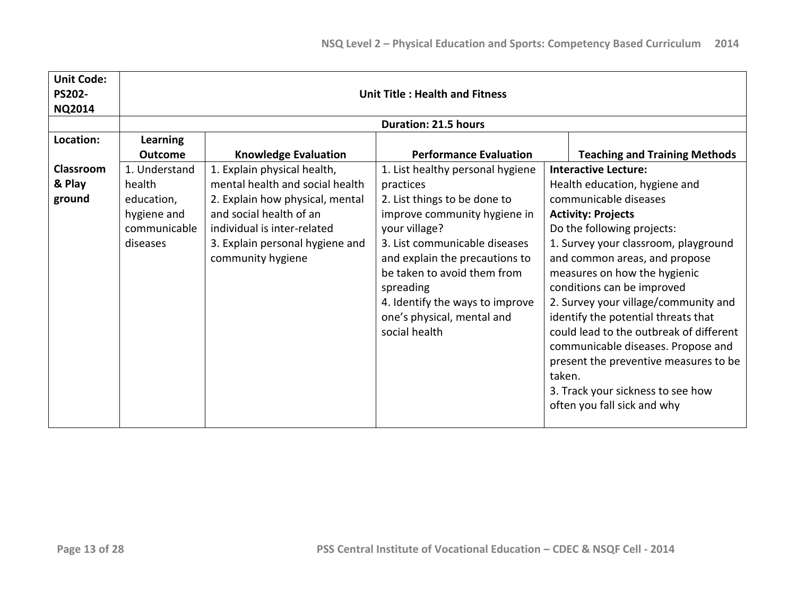| <b>Unit Code:</b><br><b>PS202-</b><br><b>NQ2014</b> | <b>Unit Title: Health and Fitness</b> |                                 |                                  |                                         |
|-----------------------------------------------------|---------------------------------------|---------------------------------|----------------------------------|-----------------------------------------|
|                                                     |                                       |                                 | <b>Duration: 21.5 hours</b>      |                                         |
| Location:                                           | <b>Learning</b>                       |                                 |                                  |                                         |
|                                                     | <b>Outcome</b>                        | <b>Knowledge Evaluation</b>     | <b>Performance Evaluation</b>    | <b>Teaching and Training Methods</b>    |
| Classroom                                           | 1. Understand                         | 1. Explain physical health,     | 1. List healthy personal hygiene | <b>Interactive Lecture:</b>             |
| & Play                                              | health                                | mental health and social health | practices                        | Health education, hygiene and           |
| ground                                              | education,                            | 2. Explain how physical, mental | 2. List things to be done to     | communicable diseases                   |
|                                                     | hygiene and                           | and social health of an         | improve community hygiene in     | <b>Activity: Projects</b>               |
|                                                     | communicable                          | individual is inter-related     | your village?                    | Do the following projects:              |
|                                                     | diseases                              | 3. Explain personal hygiene and | 3. List communicable diseases    | 1. Survey your classroom, playground    |
|                                                     |                                       | community hygiene               | and explain the precautions to   | and common areas, and propose           |
|                                                     |                                       |                                 | be taken to avoid them from      | measures on how the hygienic            |
|                                                     |                                       |                                 | spreading                        | conditions can be improved              |
|                                                     |                                       |                                 | 4. Identify the ways to improve  | 2. Survey your village/community and    |
|                                                     |                                       |                                 | one's physical, mental and       | identify the potential threats that     |
|                                                     |                                       |                                 | social health                    | could lead to the outbreak of different |
|                                                     |                                       |                                 |                                  | communicable diseases. Propose and      |
|                                                     |                                       |                                 |                                  | present the preventive measures to be   |
|                                                     |                                       |                                 |                                  | taken.                                  |
|                                                     |                                       |                                 |                                  | 3. Track your sickness to see how       |
|                                                     |                                       |                                 |                                  | often you fall sick and why             |
|                                                     |                                       |                                 |                                  |                                         |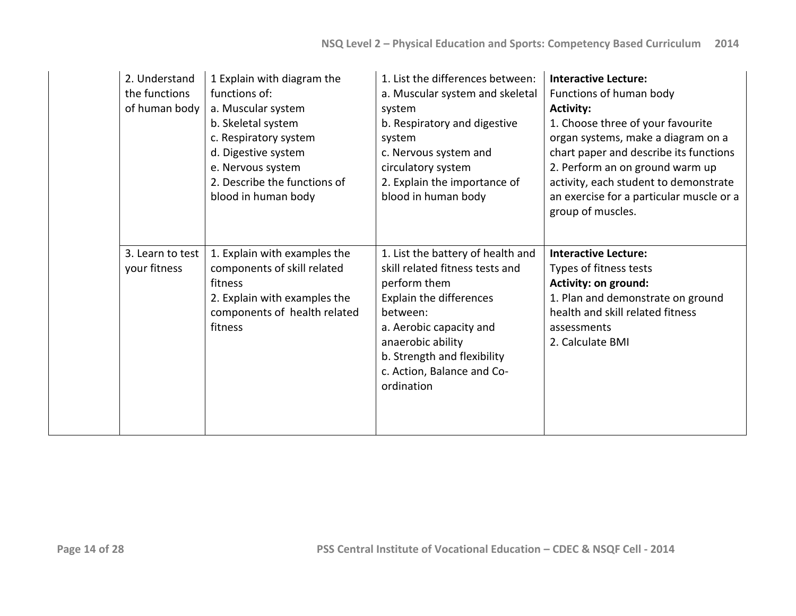| 2. Understand<br>the functions<br>of human body | 1 Explain with diagram the<br>functions of:<br>a. Muscular system<br>b. Skeletal system<br>c. Respiratory system<br>d. Digestive system<br>e. Nervous system<br>2. Describe the functions of<br>blood in human body | 1. List the differences between:<br>a. Muscular system and skeletal<br>system<br>b. Respiratory and digestive<br>system<br>c. Nervous system and<br>circulatory system<br>2. Explain the importance of<br>blood in human body                          | <b>Interactive Lecture:</b><br>Functions of human body<br><b>Activity:</b><br>1. Choose three of your favourite<br>organ systems, make a diagram on a<br>chart paper and describe its functions<br>2. Perform an on ground warm up<br>activity, each student to demonstrate<br>an exercise for a particular muscle or a<br>group of muscles. |
|-------------------------------------------------|---------------------------------------------------------------------------------------------------------------------------------------------------------------------------------------------------------------------|--------------------------------------------------------------------------------------------------------------------------------------------------------------------------------------------------------------------------------------------------------|----------------------------------------------------------------------------------------------------------------------------------------------------------------------------------------------------------------------------------------------------------------------------------------------------------------------------------------------|
| 3. Learn to test<br>your fitness                | 1. Explain with examples the<br>components of skill related<br>fitness<br>2. Explain with examples the<br>components of health related<br>fitness                                                                   | 1. List the battery of health and<br>skill related fitness tests and<br>perform them<br>Explain the differences<br>between:<br>a. Aerobic capacity and<br>anaerobic ability<br>b. Strength and flexibility<br>c. Action, Balance and Co-<br>ordination | <b>Interactive Lecture:</b><br>Types of fitness tests<br>Activity: on ground:<br>1. Plan and demonstrate on ground<br>health and skill related fitness<br>assessments<br>2. Calculate BMI                                                                                                                                                    |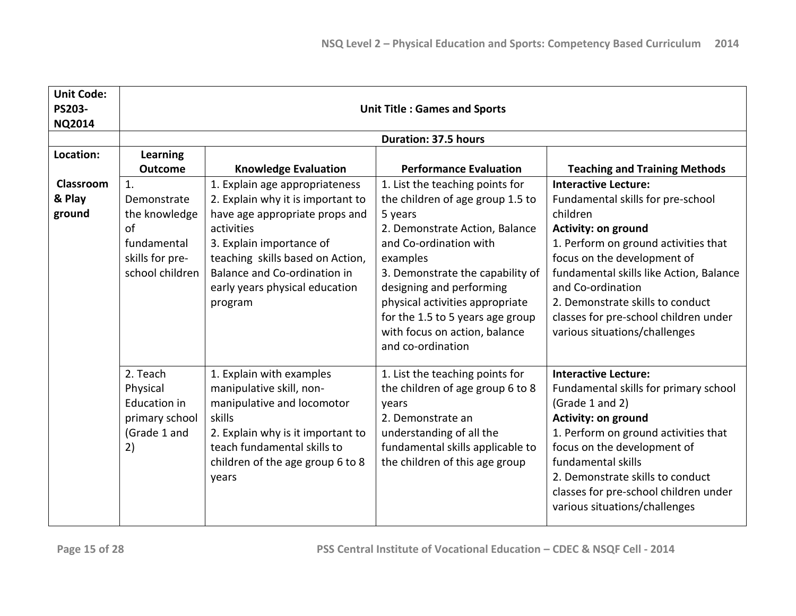| <b>Unit Code:</b><br><b>PS203-</b><br><b>NQ2014</b> | <b>Unit Title: Games and Sports</b>                                                           |                                                                                                                                                                                                                                                                  |                                                                                                                                                                                                                                                                                                                                                     |                                                                                                                                                                                                                                                                                                                                                                 |
|-----------------------------------------------------|-----------------------------------------------------------------------------------------------|------------------------------------------------------------------------------------------------------------------------------------------------------------------------------------------------------------------------------------------------------------------|-----------------------------------------------------------------------------------------------------------------------------------------------------------------------------------------------------------------------------------------------------------------------------------------------------------------------------------------------------|-----------------------------------------------------------------------------------------------------------------------------------------------------------------------------------------------------------------------------------------------------------------------------------------------------------------------------------------------------------------|
|                                                     |                                                                                               |                                                                                                                                                                                                                                                                  | <b>Duration: 37.5 hours</b>                                                                                                                                                                                                                                                                                                                         |                                                                                                                                                                                                                                                                                                                                                                 |
| Location:                                           | <b>Learning</b><br><b>Outcome</b>                                                             | <b>Knowledge Evaluation</b>                                                                                                                                                                                                                                      | <b>Performance Evaluation</b>                                                                                                                                                                                                                                                                                                                       | <b>Teaching and Training Methods</b>                                                                                                                                                                                                                                                                                                                            |
| Classroom<br>& Play<br>ground                       | 1.<br>Demonstrate<br>the knowledge<br>of<br>fundamental<br>skills for pre-<br>school children | 1. Explain age appropriateness<br>2. Explain why it is important to<br>have age appropriate props and<br>activities<br>3. Explain importance of<br>teaching skills based on Action,<br>Balance and Co-ordination in<br>early years physical education<br>program | 1. List the teaching points for<br>the children of age group 1.5 to<br>5 years<br>2. Demonstrate Action, Balance<br>and Co-ordination with<br>examples<br>3. Demonstrate the capability of<br>designing and performing<br>physical activities appropriate<br>for the 1.5 to 5 years age group<br>with focus on action, balance<br>and co-ordination | <b>Interactive Lecture:</b><br>Fundamental skills for pre-school<br>children<br><b>Activity: on ground</b><br>1. Perform on ground activities that<br>focus on the development of<br>fundamental skills like Action, Balance<br>and Co-ordination<br>2. Demonstrate skills to conduct<br>classes for pre-school children under<br>various situations/challenges |
|                                                     | 2. Teach<br>Physical<br><b>Education in</b><br>primary school<br>(Grade 1 and<br>2)           | 1. Explain with examples<br>manipulative skill, non-<br>manipulative and locomotor<br>skills<br>2. Explain why is it important to<br>teach fundamental skills to<br>children of the age group 6 to 8<br>years                                                    | 1. List the teaching points for<br>the children of age group 6 to 8<br>years<br>2. Demonstrate an<br>understanding of all the<br>fundamental skills applicable to<br>the children of this age group                                                                                                                                                 | <b>Interactive Lecture:</b><br>Fundamental skills for primary school<br>(Grade 1 and 2)<br><b>Activity: on ground</b><br>1. Perform on ground activities that<br>focus on the development of<br>fundamental skills<br>2. Demonstrate skills to conduct<br>classes for pre-school children under<br>various situations/challenges                                |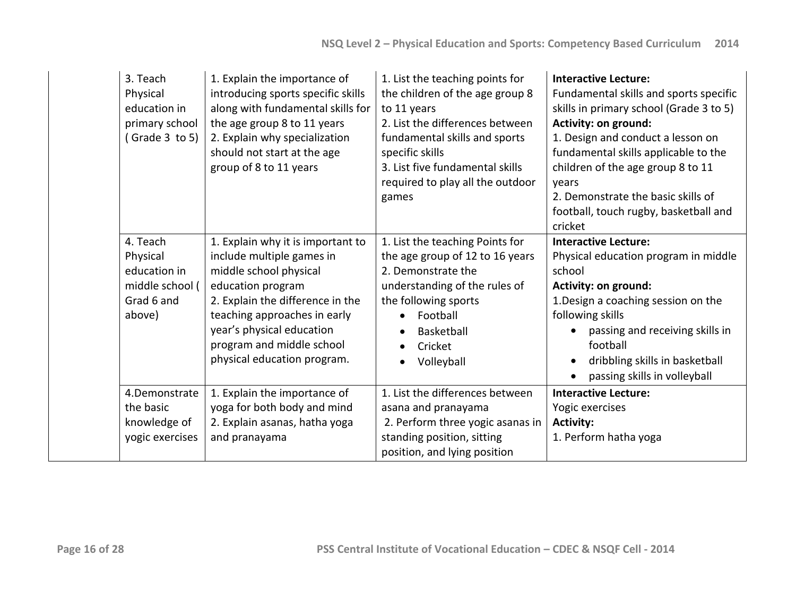| 3. Teach<br>Physical<br>education in<br>primary school<br>(Grade $3$ to $5$ )   | 1. Explain the importance of<br>introducing sports specific skills<br>along with fundamental skills for<br>the age group 8 to 11 years<br>2. Explain why specialization<br>should not start at the age<br>group of 8 to 11 years                                           | 1. List the teaching points for<br>the children of the age group 8<br>to 11 years<br>2. List the differences between<br>fundamental skills and sports<br>specific skills<br>3. List five fundamental skills<br>required to play all the outdoor<br>games | <b>Interactive Lecture:</b><br>Fundamental skills and sports specific<br>skills in primary school (Grade 3 to 5)<br>Activity: on ground:<br>1. Design and conduct a lesson on<br>fundamental skills applicable to the<br>children of the age group 8 to 11<br>years<br>2. Demonstrate the basic skills of<br>football, touch rugby, basketball and<br>cricket |
|---------------------------------------------------------------------------------|----------------------------------------------------------------------------------------------------------------------------------------------------------------------------------------------------------------------------------------------------------------------------|----------------------------------------------------------------------------------------------------------------------------------------------------------------------------------------------------------------------------------------------------------|---------------------------------------------------------------------------------------------------------------------------------------------------------------------------------------------------------------------------------------------------------------------------------------------------------------------------------------------------------------|
| 4. Teach<br>Physical<br>education in<br>middle school (<br>Grad 6 and<br>above) | 1. Explain why it is important to<br>include multiple games in<br>middle school physical<br>education program<br>2. Explain the difference in the<br>teaching approaches in early<br>year's physical education<br>program and middle school<br>physical education program. | 1. List the teaching Points for<br>the age group of 12 to 16 years<br>2. Demonstrate the<br>understanding of the rules of<br>the following sports<br>Football<br>$\bullet$<br>Basketball<br>$\bullet$<br>Cricket<br>Volleyball                           | <b>Interactive Lecture:</b><br>Physical education program in middle<br>school<br>Activity: on ground:<br>1. Design a coaching session on the<br>following skills<br>passing and receiving skills in<br>football<br>dribbling skills in basketball<br>passing skills in volleyball                                                                             |
| 4.Demonstrate<br>the basic<br>knowledge of<br>yogic exercises                   | 1. Explain the importance of<br>yoga for both body and mind<br>2. Explain asanas, hatha yoga<br>and pranayama                                                                                                                                                              | 1. List the differences between<br>asana and pranayama<br>2. Perform three yogic asanas in<br>standing position, sitting<br>position, and lying position                                                                                                 | <b>Interactive Lecture:</b><br>Yogic exercises<br><b>Activity:</b><br>1. Perform hatha yoga                                                                                                                                                                                                                                                                   |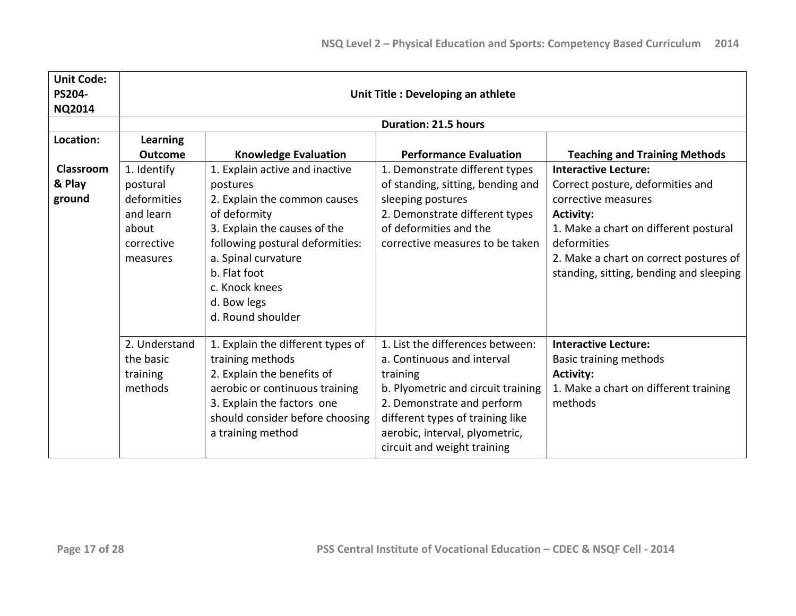| <b>Unit Code:</b><br><b>PS204-</b><br><b>NQ2014</b> | Unit Title : Developing an athlete                                                     |                                                                                                                                                                                                                                                            |                                                                                                                                                                                                                                                     |                                                                                                                                                                                                                                                         |  |
|-----------------------------------------------------|----------------------------------------------------------------------------------------|------------------------------------------------------------------------------------------------------------------------------------------------------------------------------------------------------------------------------------------------------------|-----------------------------------------------------------------------------------------------------------------------------------------------------------------------------------------------------------------------------------------------------|---------------------------------------------------------------------------------------------------------------------------------------------------------------------------------------------------------------------------------------------------------|--|
|                                                     |                                                                                        |                                                                                                                                                                                                                                                            | <b>Duration: 21.5 hours</b>                                                                                                                                                                                                                         |                                                                                                                                                                                                                                                         |  |
| Location:                                           | <b>Learning</b><br><b>Outcome</b>                                                      | <b>Knowledge Evaluation</b>                                                                                                                                                                                                                                | <b>Performance Evaluation</b>                                                                                                                                                                                                                       | <b>Teaching and Training Methods</b>                                                                                                                                                                                                                    |  |
| Classroom<br>& Play<br>ground                       | 1. Identify<br>postural<br>deformities<br>and learn<br>about<br>corrective<br>measures | 1. Explain active and inactive<br>postures<br>2. Explain the common causes<br>of deformity<br>3. Explain the causes of the<br>following postural deformities:<br>a. Spinal curvature<br>b. Flat foot<br>c. Knock knees<br>d. Bow legs<br>d. Round shoulder | 1. Demonstrate different types<br>of standing, sitting, bending and<br>sleeping postures<br>2. Demonstrate different types<br>of deformities and the<br>corrective measures to be taken                                                             | <b>Interactive Lecture:</b><br>Correct posture, deformities and<br>corrective measures<br><b>Activity:</b><br>1. Make a chart on different postural<br>deformities<br>2. Make a chart on correct postures of<br>standing, sitting, bending and sleeping |  |
|                                                     | 2. Understand<br>the basic<br>training<br>methods                                      | 1. Explain the different types of<br>training methods<br>2. Explain the benefits of<br>aerobic or continuous training<br>3. Explain the factors one<br>should consider before choosing<br>a training method                                                | 1. List the differences between:<br>a. Continuous and interval<br>training<br>b. Plyometric and circuit training<br>2. Demonstrate and perform<br>different types of training like<br>aerobic, interval, plyometric,<br>circuit and weight training | <b>Interactive Lecture:</b><br><b>Basic training methods</b><br><b>Activity:</b><br>1. Make a chart on different training<br>methods                                                                                                                    |  |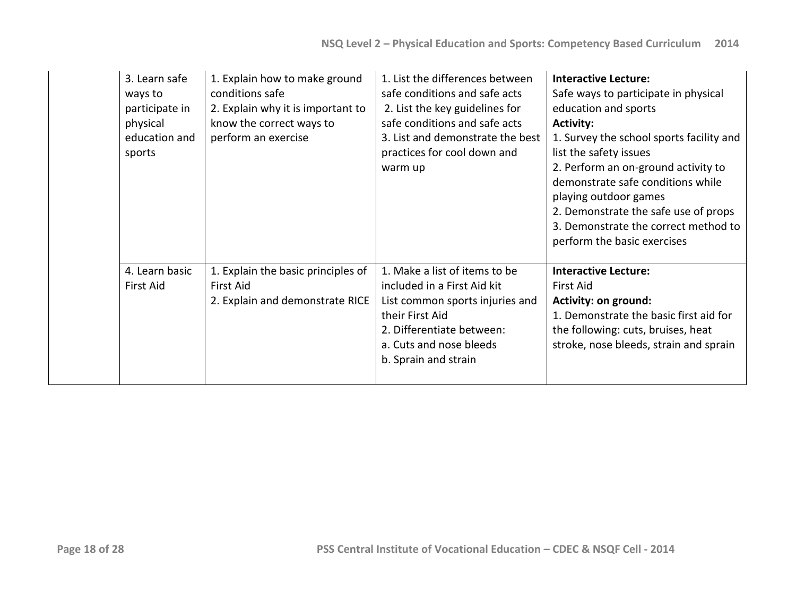| 3. Learn safe<br>ways to<br>participate in<br>physical<br>education and<br>sports | 1. Explain how to make ground<br>conditions safe<br>2. Explain why it is important to<br>know the correct ways to<br>perform an exercise | 1. List the differences between<br>safe conditions and safe acts<br>2. List the key guidelines for<br>safe conditions and safe acts<br>3. List and demonstrate the best<br>practices for cool down and<br>warm up | <b>Interactive Lecture:</b><br>Safe ways to participate in physical<br>education and sports<br><b>Activity:</b><br>1. Survey the school sports facility and<br>list the safety issues<br>2. Perform an on-ground activity to<br>demonstrate safe conditions while<br>playing outdoor games<br>2. Demonstrate the safe use of props<br>3. Demonstrate the correct method to<br>perform the basic exercises |
|-----------------------------------------------------------------------------------|------------------------------------------------------------------------------------------------------------------------------------------|-------------------------------------------------------------------------------------------------------------------------------------------------------------------------------------------------------------------|-----------------------------------------------------------------------------------------------------------------------------------------------------------------------------------------------------------------------------------------------------------------------------------------------------------------------------------------------------------------------------------------------------------|
| 4. Learn basic<br>First Aid                                                       | 1. Explain the basic principles of<br><b>First Aid</b><br>2. Explain and demonstrate RICE                                                | 1. Make a list of items to be<br>included in a First Aid kit<br>List common sports injuries and<br>their First Aid<br>2. Differentiate between:<br>a. Cuts and nose bleeds<br>b. Sprain and strain                | <b>Interactive Lecture:</b><br><b>First Aid</b><br>Activity: on ground:<br>1. Demonstrate the basic first aid for<br>the following: cuts, bruises, heat<br>stroke, nose bleeds, strain and sprain                                                                                                                                                                                                         |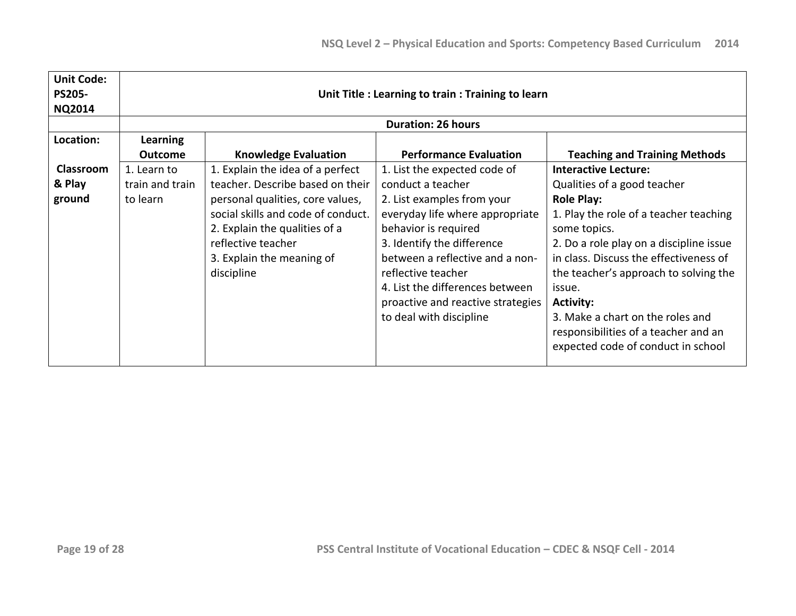| <b>Unit Code:</b><br><b>PS205-</b><br><b>NQ2014</b> |                                            | Unit Title : Learning to train : Training to learn                                                                                                                                                                                               |                                                                                                                                                                                                                                                                                                                                      |                                                                                                                                                                                                                                                                                                                                                                                                                         |  |
|-----------------------------------------------------|--------------------------------------------|--------------------------------------------------------------------------------------------------------------------------------------------------------------------------------------------------------------------------------------------------|--------------------------------------------------------------------------------------------------------------------------------------------------------------------------------------------------------------------------------------------------------------------------------------------------------------------------------------|-------------------------------------------------------------------------------------------------------------------------------------------------------------------------------------------------------------------------------------------------------------------------------------------------------------------------------------------------------------------------------------------------------------------------|--|
|                                                     |                                            |                                                                                                                                                                                                                                                  | <b>Duration: 26 hours</b>                                                                                                                                                                                                                                                                                                            |                                                                                                                                                                                                                                                                                                                                                                                                                         |  |
| Location:                                           | Learning<br><b>Outcome</b>                 | <b>Knowledge Evaluation</b>                                                                                                                                                                                                                      | <b>Performance Evaluation</b>                                                                                                                                                                                                                                                                                                        | <b>Teaching and Training Methods</b>                                                                                                                                                                                                                                                                                                                                                                                    |  |
| <b>Classroom</b><br>& Play<br>ground                | 1. Learn to<br>train and train<br>to learn | 1. Explain the idea of a perfect<br>teacher. Describe based on their<br>personal qualities, core values,<br>social skills and code of conduct.<br>2. Explain the qualities of a<br>reflective teacher<br>3. Explain the meaning of<br>discipline | 1. List the expected code of<br>conduct a teacher<br>2. List examples from your<br>everyday life where appropriate<br>behavior is required<br>3. Identify the difference<br>between a reflective and a non-<br>reflective teacher<br>4. List the differences between<br>proactive and reactive strategies<br>to deal with discipline | <b>Interactive Lecture:</b><br>Qualities of a good teacher<br><b>Role Play:</b><br>1. Play the role of a teacher teaching<br>some topics.<br>2. Do a role play on a discipline issue<br>in class. Discuss the effectiveness of<br>the teacher's approach to solving the<br>issue.<br><b>Activity:</b><br>3. Make a chart on the roles and<br>responsibilities of a teacher and an<br>expected code of conduct in school |  |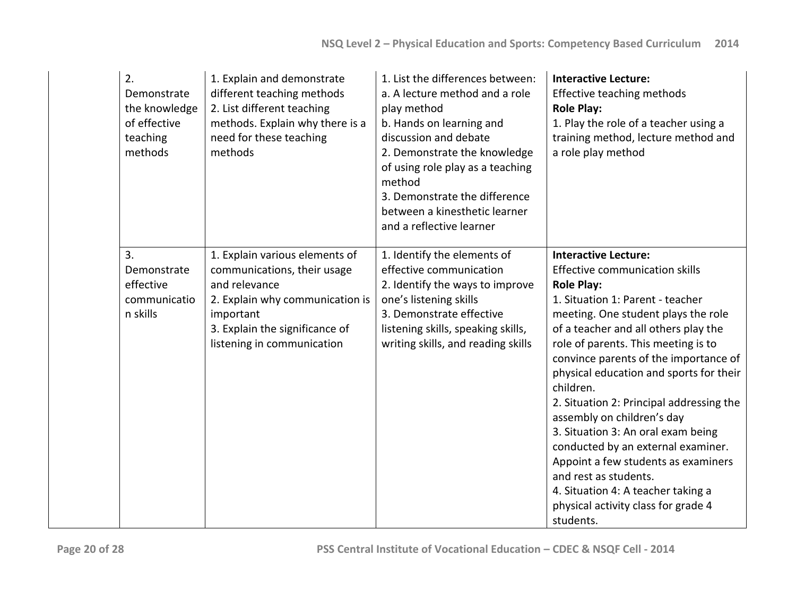| 2.<br>Demonstrate<br>the knowledge<br>of effective<br>teaching<br>methods | 1. Explain and demonstrate<br>different teaching methods<br>2. List different teaching<br>methods. Explain why there is a<br>need for these teaching<br>methods                                | 1. List the differences between:<br>a. A lecture method and a role<br>play method<br>b. Hands on learning and<br>discussion and debate<br>2. Demonstrate the knowledge<br>of using role play as a teaching<br>method<br>3. Demonstrate the difference<br>between a kinesthetic learner<br>and a reflective learner | <b>Interactive Lecture:</b><br>Effective teaching methods<br><b>Role Play:</b><br>1. Play the role of a teacher using a<br>training method, lecture method and<br>a role play method                                                                                                                                                                                                                                                                                                                                                                                                                                                                                 |
|---------------------------------------------------------------------------|------------------------------------------------------------------------------------------------------------------------------------------------------------------------------------------------|--------------------------------------------------------------------------------------------------------------------------------------------------------------------------------------------------------------------------------------------------------------------------------------------------------------------|----------------------------------------------------------------------------------------------------------------------------------------------------------------------------------------------------------------------------------------------------------------------------------------------------------------------------------------------------------------------------------------------------------------------------------------------------------------------------------------------------------------------------------------------------------------------------------------------------------------------------------------------------------------------|
| 3.<br>Demonstrate<br>effective<br>communicatio<br>n skills                | 1. Explain various elements of<br>communications, their usage<br>and relevance<br>2. Explain why communication is<br>important<br>3. Explain the significance of<br>listening in communication | 1. Identify the elements of<br>effective communication<br>2. Identify the ways to improve<br>one's listening skills<br>3. Demonstrate effective<br>listening skills, speaking skills,<br>writing skills, and reading skills                                                                                        | <b>Interactive Lecture:</b><br><b>Effective communication skills</b><br><b>Role Play:</b><br>1. Situation 1: Parent - teacher<br>meeting. One student plays the role<br>of a teacher and all others play the<br>role of parents. This meeting is to<br>convince parents of the importance of<br>physical education and sports for their<br>children.<br>2. Situation 2: Principal addressing the<br>assembly on children's day<br>3. Situation 3: An oral exam being<br>conducted by an external examiner.<br>Appoint a few students as examiners<br>and rest as students.<br>4. Situation 4: A teacher taking a<br>physical activity class for grade 4<br>students. |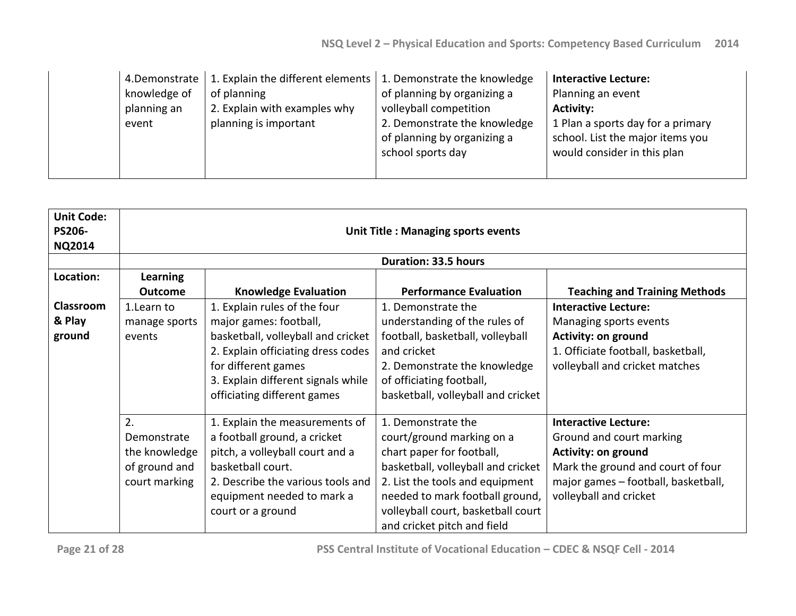| knowledge of<br>planning an<br>event | 4. Demonstrate   1. Explain the different elements  <br>of planning<br>2. Explain with examples why<br>planning is important | 1. Demonstrate the knowledge<br>of planning by organizing a<br>volleyball competition<br>2. Demonstrate the knowledge<br>of planning by organizing a<br>school sports day | <b>Interactive Lecture:</b><br>Planning an event<br><b>Activity:</b><br>1 Plan a sports day for a primary<br>school. List the major items you<br>would consider in this plan |
|--------------------------------------|------------------------------------------------------------------------------------------------------------------------------|---------------------------------------------------------------------------------------------------------------------------------------------------------------------------|------------------------------------------------------------------------------------------------------------------------------------------------------------------------------|
|                                      |                                                                                                                              |                                                                                                                                                                           |                                                                                                                                                                              |

| <b>Unit Code:</b><br><b>PS206-</b><br><b>NQ2014</b> | Unit Title: Managing sports events                                   |                                                                                                                                                                                                                                |                                                                                                                                                                                                                                                               |                                                                                                                                                                                      |
|-----------------------------------------------------|----------------------------------------------------------------------|--------------------------------------------------------------------------------------------------------------------------------------------------------------------------------------------------------------------------------|---------------------------------------------------------------------------------------------------------------------------------------------------------------------------------------------------------------------------------------------------------------|--------------------------------------------------------------------------------------------------------------------------------------------------------------------------------------|
|                                                     |                                                                      |                                                                                                                                                                                                                                | <b>Duration: 33.5 hours</b>                                                                                                                                                                                                                                   |                                                                                                                                                                                      |
| Location:                                           | <b>Learning</b><br><b>Outcome</b>                                    | <b>Knowledge Evaluation</b>                                                                                                                                                                                                    | <b>Performance Evaluation</b>                                                                                                                                                                                                                                 | <b>Teaching and Training Methods</b>                                                                                                                                                 |
| <b>Classroom</b><br>& Play<br>ground                | 1. Learn to<br>manage sports<br>events                               | 1. Explain rules of the four<br>major games: football,<br>basketball, volleyball and cricket<br>2. Explain officiating dress codes<br>for different games<br>3. Explain different signals while<br>officiating different games | 1. Demonstrate the<br>understanding of the rules of<br>football, basketball, volleyball<br>and cricket<br>2. Demonstrate the knowledge<br>of officiating football,<br>basketball, volleyball and cricket                                                      | <b>Interactive Lecture:</b><br>Managing sports events<br><b>Activity: on ground</b><br>1. Officiate football, basketball,<br>volleyball and cricket matches                          |
|                                                     | 2.<br>Demonstrate<br>the knowledge<br>of ground and<br>court marking | 1. Explain the measurements of<br>a football ground, a cricket<br>pitch, a volleyball court and a<br>basketball court.<br>2. Describe the various tools and<br>equipment needed to mark a<br>court or a ground                 | 1. Demonstrate the<br>court/ground marking on a<br>chart paper for football,<br>basketball, volleyball and cricket<br>2. List the tools and equipment<br>needed to mark football ground,<br>volleyball court, basketball court<br>and cricket pitch and field | <b>Interactive Lecture:</b><br>Ground and court marking<br>Activity: on ground<br>Mark the ground and court of four<br>major games - football, basketball,<br>volleyball and cricket |

**Page 21 of 28 PSS Central Institute of Vocational Education – CDEC & NSQF Cell - 2014**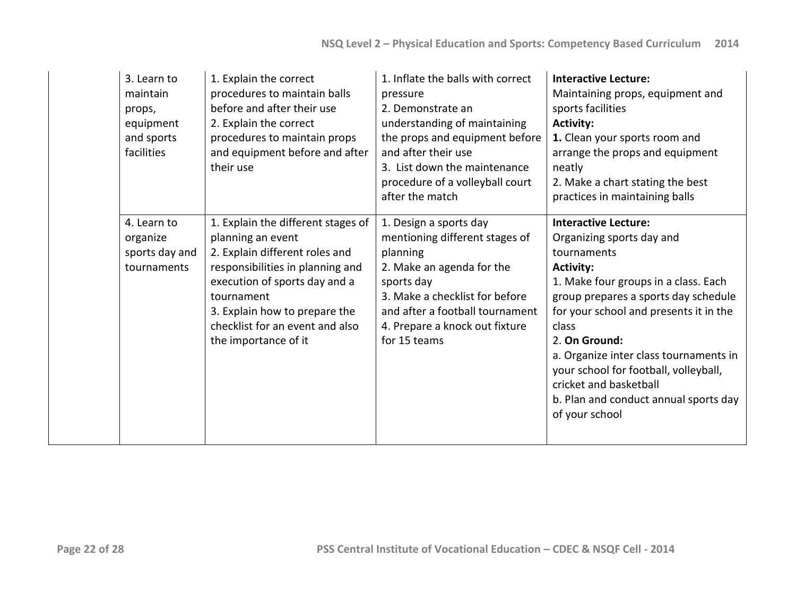| 3. Learn to<br>maintain<br>props,<br>equipment<br>and sports<br>facilities | 1. Explain the correct<br>procedures to maintain balls<br>before and after their use<br>2. Explain the correct<br>procedures to maintain props<br>and equipment before and after<br>their use                                                                            | 1. Inflate the balls with correct<br>pressure<br>2. Demonstrate an<br>understanding of maintaining<br>the props and equipment before<br>and after their use<br>3. List down the maintenance<br>procedure of a volleyball court<br>after the match | <b>Interactive Lecture:</b><br>Maintaining props, equipment and<br>sports facilities<br><b>Activity:</b><br>1. Clean your sports room and<br>arrange the props and equipment<br>neatly<br>2. Make a chart stating the best<br>practices in maintaining balls                                                                                                                                                            |
|----------------------------------------------------------------------------|--------------------------------------------------------------------------------------------------------------------------------------------------------------------------------------------------------------------------------------------------------------------------|---------------------------------------------------------------------------------------------------------------------------------------------------------------------------------------------------------------------------------------------------|-------------------------------------------------------------------------------------------------------------------------------------------------------------------------------------------------------------------------------------------------------------------------------------------------------------------------------------------------------------------------------------------------------------------------|
| 4. Learn to<br>organize<br>sports day and<br>tournaments                   | 1. Explain the different stages of<br>planning an event<br>2. Explain different roles and<br>responsibilities in planning and<br>execution of sports day and a<br>tournament<br>3. Explain how to prepare the<br>checklist for an event and also<br>the importance of it | 1. Design a sports day<br>mentioning different stages of<br>planning<br>2. Make an agenda for the<br>sports day<br>3. Make a checklist for before<br>and after a football tournament<br>4. Prepare a knock out fixture<br>for 15 teams            | <b>Interactive Lecture:</b><br>Organizing sports day and<br>tournaments<br><b>Activity:</b><br>1. Make four groups in a class. Each<br>group prepares a sports day schedule<br>for your school and presents it in the<br>class<br>2. On Ground:<br>a. Organize inter class tournaments in<br>your school for football, volleyball,<br>cricket and basketball<br>b. Plan and conduct annual sports day<br>of your school |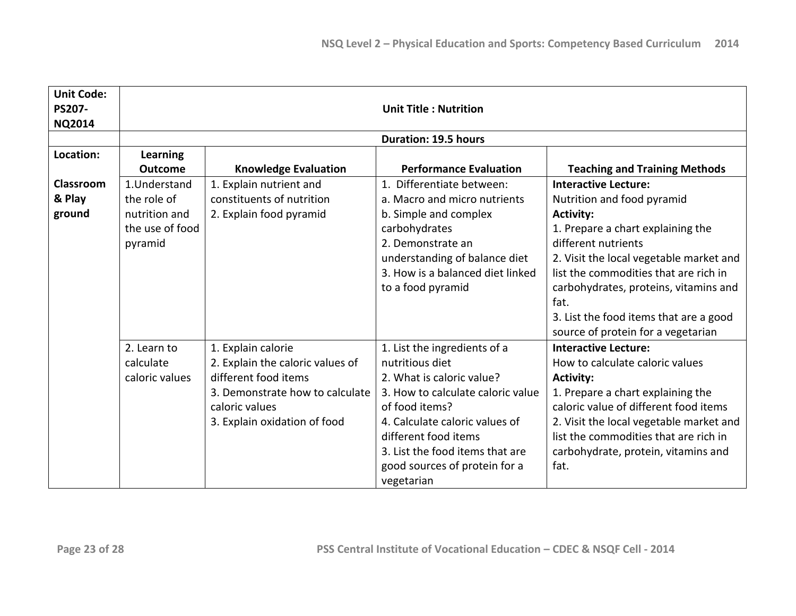| <b>Unit Code:</b><br>PS207-<br><b>NQ2014</b> | <b>Unit Title: Nutrition</b>                                               |                                                                                                                                                                     |                                                                                                                                                                                                                                                                                 |                                                                                                                                                                                                                                                                                                                                                                |
|----------------------------------------------|----------------------------------------------------------------------------|---------------------------------------------------------------------------------------------------------------------------------------------------------------------|---------------------------------------------------------------------------------------------------------------------------------------------------------------------------------------------------------------------------------------------------------------------------------|----------------------------------------------------------------------------------------------------------------------------------------------------------------------------------------------------------------------------------------------------------------------------------------------------------------------------------------------------------------|
|                                              |                                                                            |                                                                                                                                                                     | <b>Duration: 19.5 hours</b>                                                                                                                                                                                                                                                     |                                                                                                                                                                                                                                                                                                                                                                |
| Location:                                    | <b>Learning</b><br><b>Outcome</b>                                          | <b>Knowledge Evaluation</b>                                                                                                                                         | <b>Performance Evaluation</b>                                                                                                                                                                                                                                                   | <b>Teaching and Training Methods</b>                                                                                                                                                                                                                                                                                                                           |
| Classroom<br>& Play<br>ground                | 1.Understand<br>the role of<br>nutrition and<br>the use of food<br>pyramid | 1. Explain nutrient and<br>constituents of nutrition<br>2. Explain food pyramid                                                                                     | 1. Differentiate between:<br>a. Macro and micro nutrients<br>b. Simple and complex<br>carbohydrates<br>2. Demonstrate an<br>understanding of balance diet<br>3. How is a balanced diet linked<br>to a food pyramid                                                              | <b>Interactive Lecture:</b><br>Nutrition and food pyramid<br><b>Activity:</b><br>1. Prepare a chart explaining the<br>different nutrients<br>2. Visit the local vegetable market and<br>list the commodities that are rich in<br>carbohydrates, proteins, vitamins and<br>fat.<br>3. List the food items that are a good<br>source of protein for a vegetarian |
|                                              | 2. Learn to<br>calculate<br>caloric values                                 | 1. Explain calorie<br>2. Explain the caloric values of<br>different food items<br>3. Demonstrate how to calculate<br>caloric values<br>3. Explain oxidation of food | 1. List the ingredients of a<br>nutritious diet<br>2. What is caloric value?<br>3. How to calculate caloric value<br>of food items?<br>4. Calculate caloric values of<br>different food items<br>3. List the food items that are<br>good sources of protein for a<br>vegetarian | <b>Interactive Lecture:</b><br>How to calculate caloric values<br><b>Activity:</b><br>1. Prepare a chart explaining the<br>caloric value of different food items<br>2. Visit the local vegetable market and<br>list the commodities that are rich in<br>carbohydrate, protein, vitamins and<br>fat.                                                            |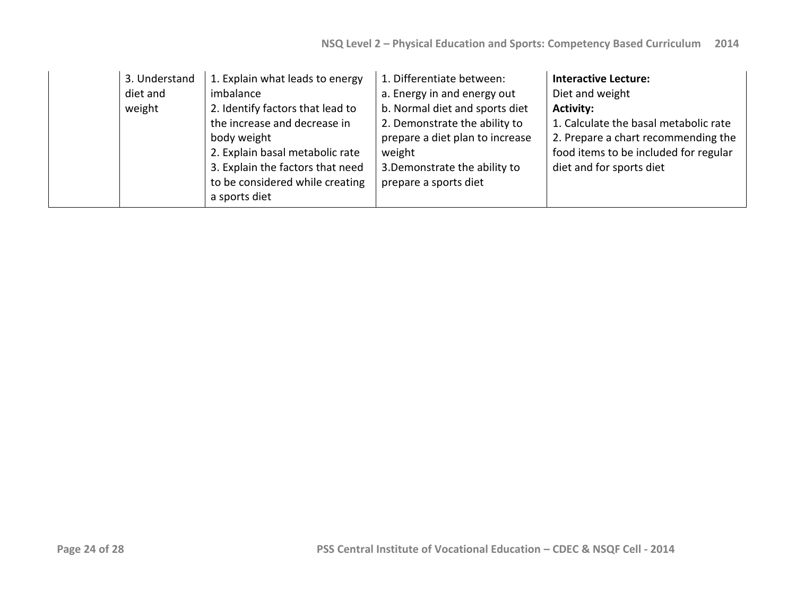| 3. Understand<br>diet and<br>weight | 1. Explain what leads to energy<br>imbalance<br>2. Identify factors that lead to<br>the increase and decrease in<br>body weight<br>2. Explain basal metabolic rate<br>3. Explain the factors that need<br>to be considered while creating<br>a sports diet | 1. Differentiate between:<br>a. Energy in and energy out<br>b. Normal diet and sports diet<br>2. Demonstrate the ability to<br>prepare a diet plan to increase<br>weight<br>3. Demonstrate the ability to<br>prepare a sports diet | <b>Interactive Lecture:</b><br>Diet and weight<br><b>Activity:</b><br>1. Calculate the basal metabolic rate<br>2. Prepare a chart recommending the<br>food items to be included for regular<br>diet and for sports diet |
|-------------------------------------|------------------------------------------------------------------------------------------------------------------------------------------------------------------------------------------------------------------------------------------------------------|------------------------------------------------------------------------------------------------------------------------------------------------------------------------------------------------------------------------------------|-------------------------------------------------------------------------------------------------------------------------------------------------------------------------------------------------------------------------|
|-------------------------------------|------------------------------------------------------------------------------------------------------------------------------------------------------------------------------------------------------------------------------------------------------------|------------------------------------------------------------------------------------------------------------------------------------------------------------------------------------------------------------------------------------|-------------------------------------------------------------------------------------------------------------------------------------------------------------------------------------------------------------------------|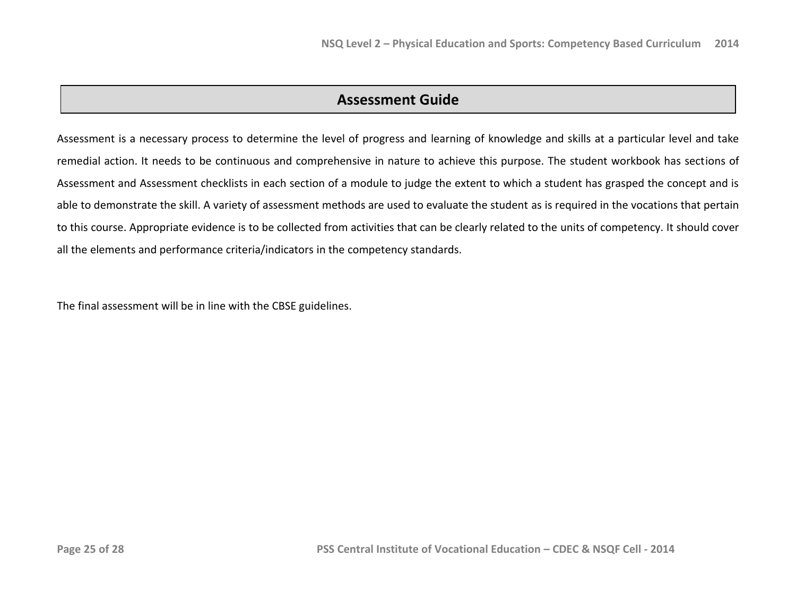## **Assessment Guide**

Assessment is a necessary process to determine the level of progress and learning of knowledge and skills at a particular level and take remedial action. It needs to be continuous and comprehensive in nature to achieve this purpose. The student workbook has sections of Assessment and Assessment checklists in each section of a module to judge the extent to which a student has grasped the concept and is able to demonstrate the skill. A variety of assessment methods are used to evaluate the student as is required in the vocations that pertain to this course. Appropriate evidence is to be collected from activities that can be clearly related to the units of competency. It should cover all the elements and performance criteria/indicators in the competency standards.

The final assessment will be in line with the CBSE guidelines.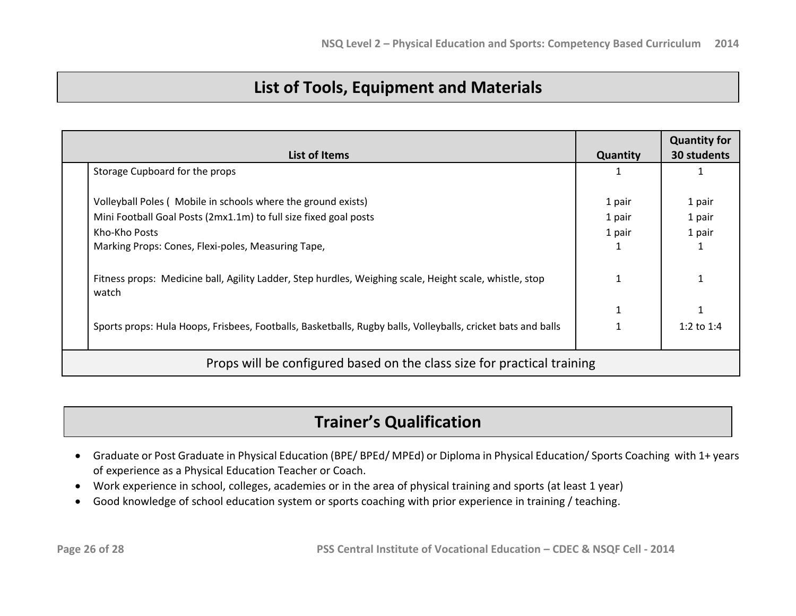# **List of Tools, Equipment and Materials**

| <b>List of Items</b> |                                                                                                                  |        | <b>Quantity for</b><br>30 students |  |  |
|----------------------|------------------------------------------------------------------------------------------------------------------|--------|------------------------------------|--|--|
|                      | Storage Cupboard for the props                                                                                   |        |                                    |  |  |
|                      | Volleyball Poles (Mobile in schools where the ground exists)                                                     | 1 pair | 1 pair                             |  |  |
|                      | Mini Football Goal Posts (2mx1.1m) to full size fixed goal posts                                                 | 1 pair | 1 pair                             |  |  |
|                      | Kho-Kho Posts                                                                                                    | 1 pair | 1 pair                             |  |  |
|                      | Marking Props: Cones, Flexi-poles, Measuring Tape,                                                               |        |                                    |  |  |
|                      | Fitness props: Medicine ball, Agility Ladder, Step hurdles, Weighing scale, Height scale, whistle, stop<br>watch |        |                                    |  |  |
|                      |                                                                                                                  |        |                                    |  |  |
|                      | Sports props: Hula Hoops, Frisbees, Footballs, Basketballs, Rugby balls, Volleyballs, cricket bats and balls     |        | 1:2 to $1:4$                       |  |  |
|                      | Props will be configured based on the class size for practical training                                          |        |                                    |  |  |

# **Trainer's Qualification**

- Graduate or Post Graduate in Physical Education (BPE/ BPEd/ MPEd) or Diploma in Physical Education/ Sports Coaching with 1+ years of experience as a Physical Education Teacher or Coach.
- Work experience in school, colleges, academies or in the area of physical training and sports (at least 1 year)
- Good knowledge of school education system or sports coaching with prior experience in training / teaching.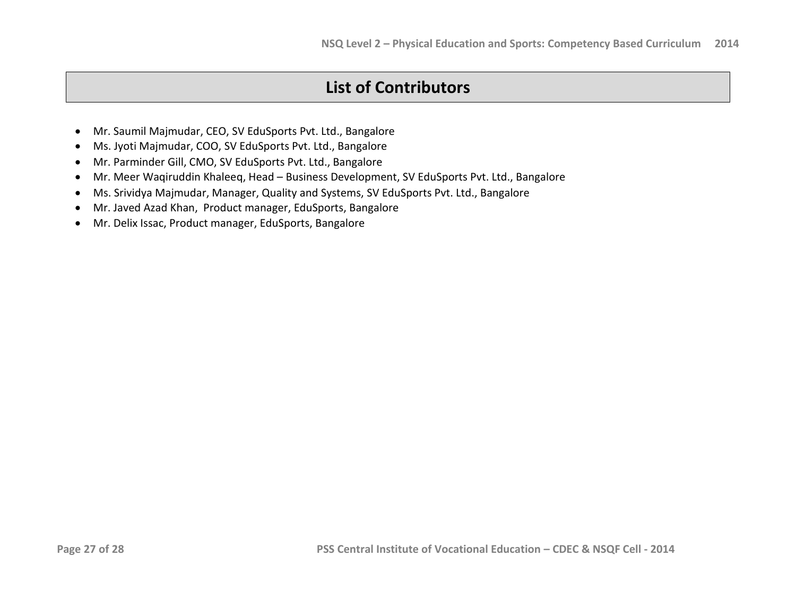# **List of Contributors**

- Mr. Saumil Majmudar, CEO, SV EduSports Pvt. Ltd., Bangalore
- Ms. Jyoti Majmudar, COO, SV EduSports Pvt. Ltd., Bangalore
- Mr. Parminder Gill, CMO, SV EduSports Pvt. Ltd., Bangalore
- Mr. Meer Waqiruddin Khaleeq, Head Business Development, SV EduSports Pvt. Ltd., Bangalore
- Ms. Srividya Majmudar, Manager, Quality and Systems, SV EduSports Pvt. Ltd., Bangalore
- Mr. Javed Azad Khan, Product manager, EduSports, Bangalore
- Mr. Delix Issac, Product manager, EduSports, Bangalore